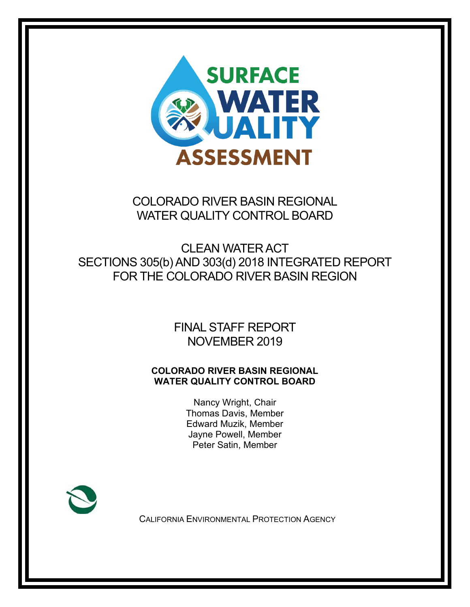

COLORADO RIVER BASIN REGIONAL WATER QUALITY CONTROL BOARD

CLEAN WATER ACT SECTIONS 305(b) AND 303(d) 2018 INTEGRATED REPORT FOR THE COLORADO RIVER BASIN REGION

> FINAL STAFF REPORT NOVEMBER 2019

#### **COLORADO RIVER BASIN REGIONAL WATER QUALITY CONTROL BOARD**

Nancy Wright, Chair Thomas Davis, Member Edward Muzik, Member Jayne Powell, Member Peter Satin, Member



CALIFORNIA ENVIRONMENTAL PROTECTION AGENCY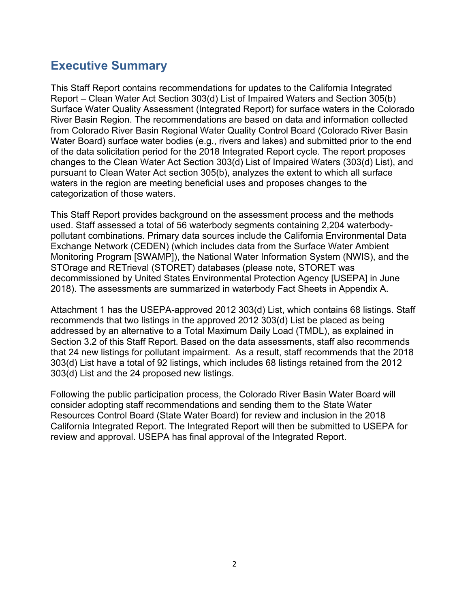# <span id="page-1-0"></span>**Executive Summary**

This Staff Report contains recommendations for updates to the California Integrated Report – Clean Water Act Section 303(d) List of Impaired Waters and Section 305(b) Surface Water Quality Assessment (Integrated Report) for surface waters in the Colorado River Basin Region. The recommendations are based on data and information collected from Colorado River Basin Regional Water Quality Control Board (Colorado River Basin Water Board) surface water bodies (e.g., rivers and lakes) and submitted prior to the end of the data solicitation period for the 2018 Integrated Report cycle. The report proposes changes to the Clean Water Act Section 303(d) List of Impaired Waters (303(d) List), and pursuant to Clean Water Act section 305(b), analyzes the extent to which all surface waters in the region are meeting beneficial uses and proposes changes to the categorization of those waters.

This Staff Report provides background on the assessment process and the methods used. Staff assessed a total of 56 waterbody segments containing 2,204 waterbodypollutant combinations. Primary data sources include the California Environmental Data Exchange Network (CEDEN) (which includes data from the Surface Water Ambient Monitoring Program [SWAMP]), the National Water Information System (NWIS), and the STOrage and RETrieval (STORET) databases (please note, STORET was decommissioned by United States Environmental Protection Agency [USEPA] in June 2018). The assessments are summarized in waterbody Fact Sheets in Appendix A.

Attachment 1 has the USEPA-approved 2012 303(d) List, which contains 68 listings. Staff recommends that two listings in the approved 2012 303(d) List be placed as being addressed by an alternative to a Total Maximum Daily Load (TMDL), as explained in Section 3.2 of this Staff Report. Based on the data assessments, staff also recommends that 24 new listings for pollutant impairment. As a result, staff recommends that the 2018 303(d) List have a total of 92 listings, which includes 68 listings retained from the 2012 303(d) List and the 24 proposed new listings.

Following the public participation process, the Colorado River Basin Water Board will consider adopting staff recommendations and sending them to the State Water Resources Control Board (State Water Board) for review and inclusion in the 2018 California Integrated Report. The Integrated Report will then be submitted to USEPA for review and approval. USEPA has final approval of the Integrated Report.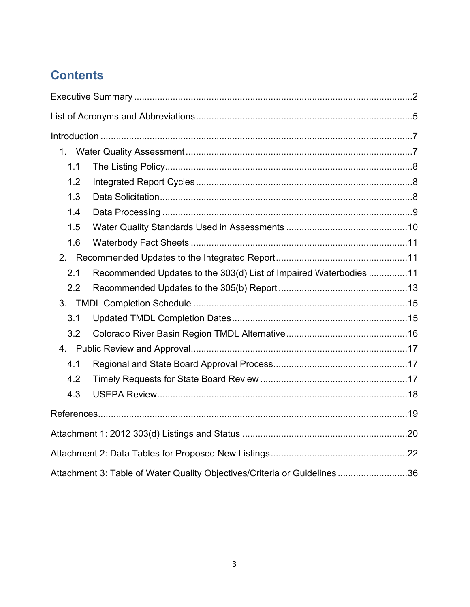# **Contents**

| 1.1 |                                                                          |  |
|-----|--------------------------------------------------------------------------|--|
| 1.2 |                                                                          |  |
| 1.3 |                                                                          |  |
| 1.4 |                                                                          |  |
| 1.5 |                                                                          |  |
| 1.6 |                                                                          |  |
|     |                                                                          |  |
| 2.1 | Recommended Updates to the 303(d) List of Impaired Waterbodies 11        |  |
| 2.2 |                                                                          |  |
|     |                                                                          |  |
| 3.1 |                                                                          |  |
| 3.2 |                                                                          |  |
|     |                                                                          |  |
| 4.1 |                                                                          |  |
| 4.2 |                                                                          |  |
| 4.3 |                                                                          |  |
|     |                                                                          |  |
|     |                                                                          |  |
|     |                                                                          |  |
|     | Attachment 3: Table of Water Quality Objectives/Criteria or Guidelines36 |  |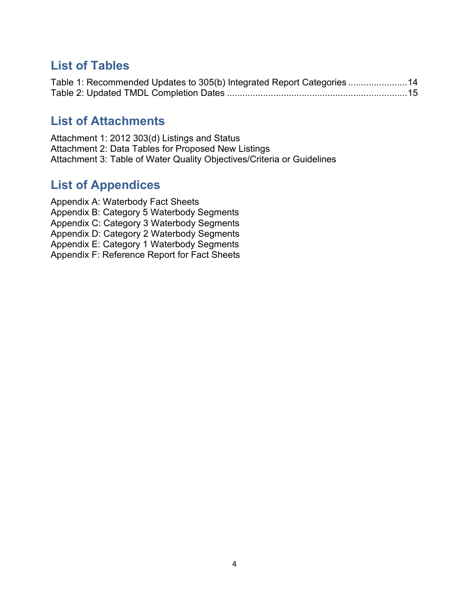# **List of Tables**

|  | Table 1: Recommended Updates to 305(b) Integrated Report Categories14 |  |
|--|-----------------------------------------------------------------------|--|
|  |                                                                       |  |

# **List of Attachments**

Attachment 1: 2012 303(d) Listings and Status Attachment 2: Data Tables for Proposed New Listings Attachment 3: Table of Water Quality Objectives/Criteria or Guidelines

# **List of Appendices**

Appendix A: Waterbody Fact Sheets Appendix B: Category 5 Waterbody Segments Appendix C: Category 3 Waterbody Segments Appendix D: Category 2 Waterbody Segments Appendix E: Category 1 Waterbody Segments Appendix F: Reference Report for Fact Sheets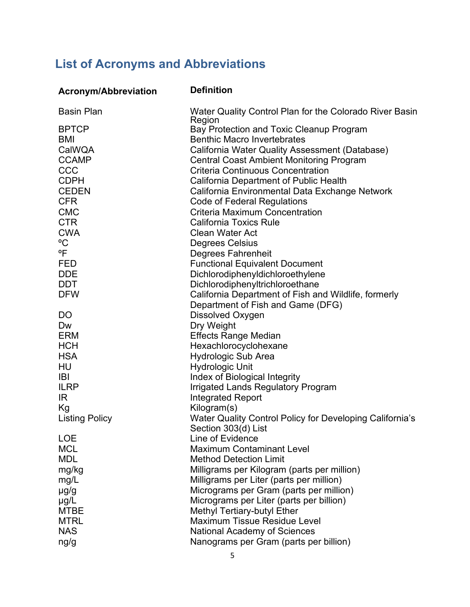# <span id="page-4-0"></span>**List of Acronyms and Abbreviations**

| <b>Acronym/Abbreviation</b> | <b>Definition</b>                                                     |
|-----------------------------|-----------------------------------------------------------------------|
| <b>Basin Plan</b>           | Water Quality Control Plan for the Colorado River Basin               |
| <b>BPTCP</b>                | Region<br>Bay Protection and Toxic Cleanup Program                    |
| BMI                         | <b>Benthic Macro Invertebrates</b>                                    |
| CalWQA                      | California Water Quality Assessment (Database)                        |
| <b>CCAMP</b>                | <b>Central Coast Ambient Monitoring Program</b>                       |
| CCC                         | <b>Criteria Continuous Concentration</b>                              |
| <b>CDPH</b>                 | California Department of Public Health                                |
| <b>CEDEN</b>                | California Environmental Data Exchange Network                        |
| <b>CFR</b>                  | <b>Code of Federal Regulations</b>                                    |
| <b>CMC</b>                  | <b>Criteria Maximum Concentration</b>                                 |
| <b>CTR</b>                  | <b>California Toxics Rule</b>                                         |
| <b>CWA</b><br>$\rm ^{o}C$   | <b>Clean Water Act</b>                                                |
| °F                          | <b>Degrees Celsius</b><br><b>Degrees Fahrenheit</b>                   |
| <b>FED</b>                  | <b>Functional Equivalent Document</b>                                 |
| <b>DDE</b>                  | Dichlorodiphenyldichloroethylene                                      |
| <b>DDT</b>                  | Dichlorodiphenyltrichloroethane                                       |
| <b>DFW</b>                  | California Department of Fish and Wildlife, formerly                  |
|                             | Department of Fish and Game (DFG)                                     |
| DO                          | Dissolved Oxygen                                                      |
| Dw                          | Dry Weight                                                            |
| <b>ERM</b>                  | <b>Effects Range Median</b>                                           |
| <b>HCH</b>                  | Hexachlorocyclohexane                                                 |
| <b>HSA</b>                  | <b>Hydrologic Sub Area</b>                                            |
| HU                          | <b>Hydrologic Unit</b>                                                |
| <b>IBI</b><br><b>ILRP</b>   | Index of Biological Integrity                                         |
| IR.                         | <b>Irrigated Lands Regulatory Program</b><br><b>Integrated Report</b> |
| Kg                          | Kilogram(s)                                                           |
| <b>Listing Policy</b>       | Water Quality Control Policy for Developing California's              |
|                             | Section 303(d) List                                                   |
| <b>LOE</b>                  | Line of Evidence                                                      |
| <b>MCL</b>                  | <b>Maximum Contaminant Level</b>                                      |
| <b>MDL</b>                  | <b>Method Detection Limit</b>                                         |
| mg/kg                       | Milligrams per Kilogram (parts per million)                           |
| mg/L                        | Milligrams per Liter (parts per million)                              |
| $\mu$ g/g                   | Micrograms per Gram (parts per million)                               |
| $\mu$ g/L                   | Micrograms per Liter (parts per billion)                              |
| <b>MTBE</b>                 | Methyl Tertiary-butyl Ether                                           |
| <b>MTRL</b>                 | Maximum Tissue Residue Level                                          |
| <b>NAS</b>                  | <b>National Academy of Sciences</b>                                   |
| ng/g                        | Nanograms per Gram (parts per billion)                                |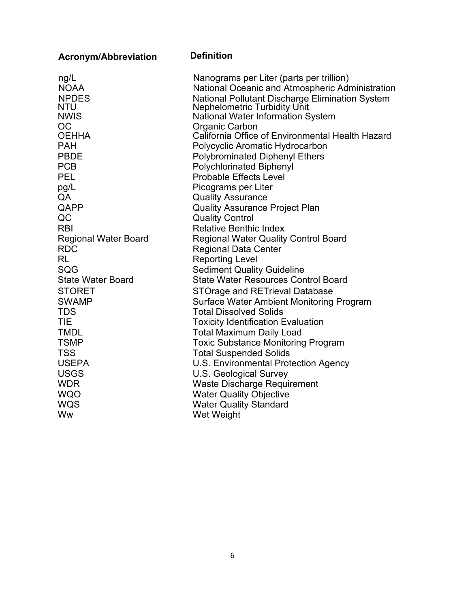| <b>Acronym/Abbreviation</b> | <b>Definition</b>                                                        |
|-----------------------------|--------------------------------------------------------------------------|
| ng/L                        | Nanograms per Liter (parts per trillion)                                 |
| <b>NOAA</b>                 | National Oceanic and Atmospheric Administration                          |
| <b>NPDES</b>                | National Pollutant Discharge Elimination System                          |
| <b>NTU</b>                  | <b>Nephelometric Turbidity Unit</b>                                      |
| <b>NWIS</b>                 | <b>National Water Information System</b>                                 |
| <b>OC</b><br><b>OEHHA</b>   | Organic Carbon<br>California Office of Environmental Health Hazard       |
| <b>PAH</b>                  |                                                                          |
| <b>PBDE</b>                 | Polycyclic Aromatic Hydrocarbon                                          |
| <b>PCB</b>                  | <b>Polybrominated Diphenyl Ethers</b><br><b>Polychlorinated Biphenyl</b> |
| <b>PEL</b>                  | <b>Probable Effects Level</b>                                            |
| pg/L                        | Picograms per Liter                                                      |
| QA                          | <b>Quality Assurance</b>                                                 |
| QAPP                        | <b>Quality Assurance Project Plan</b>                                    |
| QC                          | <b>Quality Control</b>                                                   |
| <b>RBI</b>                  | <b>Relative Benthic Index</b>                                            |
| <b>Regional Water Board</b> | <b>Regional Water Quality Control Board</b>                              |
| <b>RDC</b>                  | <b>Regional Data Center</b>                                              |
| <b>RL</b>                   | <b>Reporting Level</b>                                                   |
| SQG                         | <b>Sediment Quality Guideline</b>                                        |
| <b>State Water Board</b>    | <b>State Water Resources Control Board</b>                               |
| <b>STORET</b>               | <b>STOrage and RETrieval Database</b>                                    |
| <b>SWAMP</b>                | <b>Surface Water Ambient Monitoring Program</b>                          |
| <b>TDS</b>                  | <b>Total Dissolved Solids</b>                                            |
| <b>TIE</b>                  | <b>Toxicity Identification Evaluation</b>                                |
| <b>TMDL</b>                 | <b>Total Maximum Daily Load</b>                                          |
| <b>TSMP</b>                 | <b>Toxic Substance Monitoring Program</b>                                |
| <b>TSS</b>                  | <b>Total Suspended Solids</b>                                            |
| <b>USEPA</b>                | U.S. Environmental Protection Agency                                     |
| <b>USGS</b>                 | U.S. Geological Survey                                                   |
| <b>WDR</b>                  | <b>Waste Discharge Requirement</b>                                       |
| <b>WQO</b>                  | <b>Water Quality Objective</b>                                           |
| <b>WQS</b>                  | <b>Water Quality Standard</b>                                            |
| Ww                          | Wet Weight                                                               |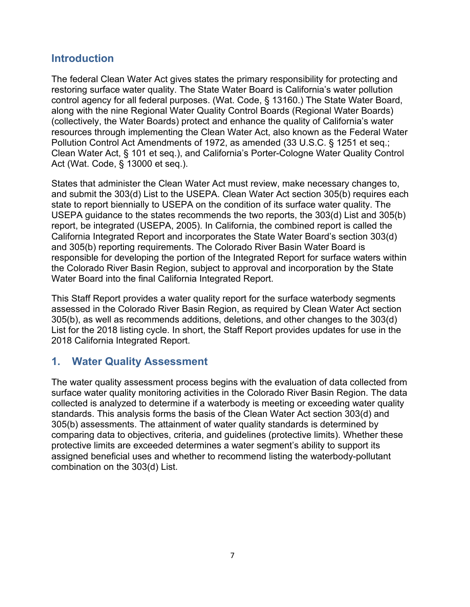### <span id="page-6-0"></span>**Introduction**

The federal Clean Water Act gives states the primary responsibility for protecting and restoring surface water quality. The State Water Board is California's water pollution control agency for all federal purposes. (Wat. Code, § 13160.) The State Water Board, along with the nine Regional Water Quality Control Boards (Regional Water Boards) (collectively, the Water Boards) protect and enhance the quality of California's water resources through implementing the Clean Water Act, also known as the Federal Water Pollution Control Act Amendments of 1972, as amended (33 U.S.C. § 1251 et seq.; Clean Water Act, § 101 et seq.), and California's Porter-Cologne Water Quality Control Act (Wat. Code, § 13000 et seq.).

States that administer the Clean Water Act must review, make necessary changes to, and submit the 303(d) List to the USEPA. Clean Water Act section 305(b) requires each state to report biennially to USEPA on the condition of its surface water quality. The USEPA guidance to the states recommends the two reports, the 303(d) List and 305(b) report, be integrated (USEPA, 2005). In California, the combined report is called the California Integrated Report and incorporates the State Water Board's section 303(d) and 305(b) reporting requirements. The Colorado River Basin Water Board is responsible for developing the portion of the Integrated Report for surface waters within the Colorado River Basin Region, subject to approval and incorporation by the State Water Board into the final California Integrated Report.

This Staff Report provides a water quality report for the surface waterbody segments assessed in the Colorado River Basin Region, as required by Clean Water Act section 305(b), as well as recommends additions, deletions, and other changes to the 303(d) List for the 2018 listing cycle. In short, the Staff Report provides updates for use in the 2018 California Integrated Report.

## <span id="page-6-1"></span>**1. Water Quality Assessment**

The water quality assessment process begins with the evaluation of data collected from surface water quality monitoring activities in the Colorado River Basin Region. The data collected is analyzed to determine if a waterbody is meeting or exceeding water quality standards. This analysis forms the basis of the Clean Water Act section 303(d) and 305(b) assessments. The attainment of water quality standards is determined by comparing data to objectives, criteria, and guidelines (protective limits). Whether these protective limits are exceeded determines a water segment's ability to support its assigned beneficial uses and whether to recommend listing the waterbody-pollutant combination on the 303(d) List.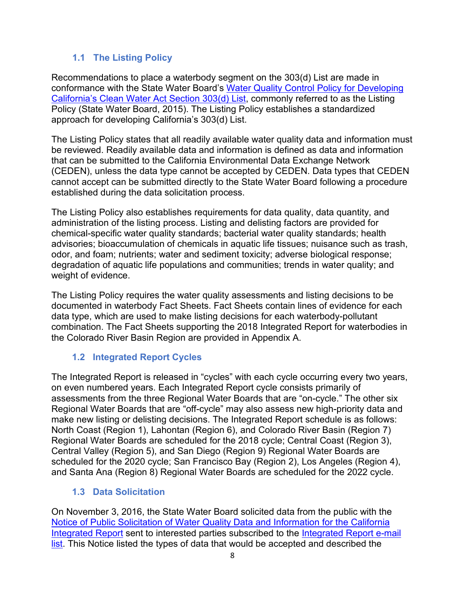### **1.1 The Listing Policy**

<span id="page-7-0"></span>Recommendations to place a waterbody segment on the 303(d) List are made in conformance with the State Water Board's [Water Quality Control Policy for Developing](http://www.waterboards.ca.gov/board_decisions/adopted_orders/resolutions/2015/020315_8_amendment_clean_version.pdf)  [California's Clean Water Act Section 303\(d\) List,](http://www.waterboards.ca.gov/board_decisions/adopted_orders/resolutions/2015/020315_8_amendment_clean_version.pdf) commonly referred to as the Listing Policy (State Water Board, 2015). The Listing Policy establishes a standardized approach for developing California's 303(d) List.

The Listing Policy states that all readily available water quality data and information must be reviewed. Readily available data and information is defined as data and information that can be submitted to the California Environmental Data Exchange Network (CEDEN), unless the data type cannot be accepted by CEDEN. Data types that CEDEN cannot accept can be submitted directly to the State Water Board following a procedure established during the data solicitation process.

The Listing Policy also establishes requirements for data quality, data quantity, and administration of the listing process. Listing and delisting factors are provided for chemical-specific water quality standards; bacterial water quality standards; health advisories; bioaccumulation of chemicals in aquatic life tissues; nuisance such as trash, odor, and foam; nutrients; water and sediment toxicity; adverse biological response; degradation of aquatic life populations and communities; trends in water quality; and weight of evidence.

The Listing Policy requires the water quality assessments and listing decisions to be documented in waterbody Fact Sheets. Fact Sheets contain lines of evidence for each data type, which are used to make listing decisions for each waterbody-pollutant combination. The Fact Sheets supporting the 2018 Integrated Report for waterbodies in the Colorado River Basin Region are provided in Appendix A.

#### **1.2 Integrated Report Cycles**

<span id="page-7-1"></span>The Integrated Report is released in "cycles" with each cycle occurring every two years, on even numbered years. Each Integrated Report cycle consists primarily of assessments from the three Regional Water Boards that are "on-cycle." The other six Regional Water Boards that are "off-cycle" may also assess new high-priority data and make new listing or delisting decisions. The Integrated Report schedule is as follows: North Coast (Region 1), Lahontan (Region 6), and Colorado River Basin (Region 7) Regional Water Boards are scheduled for the 2018 cycle; Central Coast (Region 3), Central Valley (Region 5), and San Diego (Region 9) Regional Water Boards are scheduled for the 2020 cycle; San Francisco Bay (Region 2), Los Angeles (Region 4), and Santa Ana (Region 8) Regional Water Boards are scheduled for the 2022 cycle.

#### **1.3 Data Solicitation**

<span id="page-7-2"></span>On November 3, 2016, the State Water Board solicited data from the public with the [Notice of Public](https://www.waterboards.ca.gov/water_issues/programs/water_quality_assessment/docs/2018_solicit_ltr.pdf) [Solicitation of Water Quality Data and Information for the California](https://www.waterboards.ca.gov/water_issues/programs/water_quality_assessment/docs/2018_solicit_ltr.pdf)  [Integrated Report](https://www.waterboards.ca.gov/water_issues/programs/water_quality_assessment/docs/2018_solicit_ltr.pdf) sent to interested parties subscribed to the Integrated Report e-mail [list.](http://www.swrcb.ca.gov/resources/email_subscriptions/swrcb_subscribe.shtml) This Notice listed the types of data that would be accepted and described the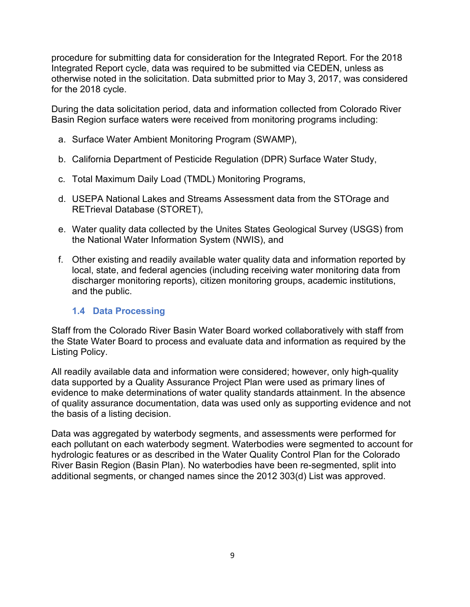procedure for submitting data for consideration for the Integrated Report. For the 2018 Integrated Report cycle, data was required to be submitted via CEDEN, unless as otherwise noted in the solicitation. Data submitted prior to May 3, 2017, was considered for the 2018 cycle.

During the data solicitation period, data and information collected from Colorado River Basin Region surface waters were received from monitoring programs including:

- a. Surface Water Ambient Monitoring Program (SWAMP),
- b. California Department of Pesticide Regulation (DPR) Surface Water Study,
- c. Total Maximum Daily Load (TMDL) Monitoring Programs,
- d. USEPA National Lakes and Streams Assessment data from the STOrage and RETrieval Database (STORET),
- e. Water quality data collected by the Unites States Geological Survey (USGS) from the National Water Information System (NWIS), and
- f. Other existing and readily available water quality data and information reported by local, state, and federal agencies (including receiving water monitoring data from discharger monitoring reports), citizen monitoring groups, academic institutions, and the public.

#### **1.4 Data Processing**

<span id="page-8-0"></span>Staff from the Colorado River Basin Water Board worked collaboratively with staff from the State Water Board to process and evaluate data and information as required by the Listing Policy.

All readily available data and information were considered; however, only high-quality data supported by a Quality Assurance Project Plan were used as primary lines of evidence to make determinations of water quality standards attainment. In the absence of quality assurance documentation, data was used only as supporting evidence and not the basis of a listing decision.

Data was aggregated by waterbody segments, and assessments were performed for each pollutant on each waterbody segment. Waterbodies were segmented to account for hydrologic features or as described in the Water Quality Control Plan for the Colorado River Basin Region (Basin Plan). No waterbodies have been re-segmented, split into additional segments, or changed names since the 2012 303(d) List was approved.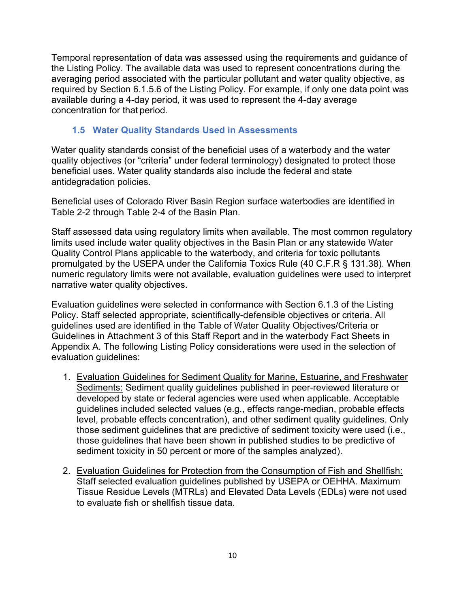Temporal representation of data was assessed using the requirements and guidance of the Listing Policy. The available data was used to represent concentrations during the averaging period associated with the particular pollutant and water quality objective, as required by Section 6.1.5.6 of the Listing Policy. For example, if only one data point was available during a 4-day period, it was used to represent the 4-day average concentration for that period.

#### **1.5 Water Quality Standards Used in Assessments**

<span id="page-9-0"></span>Water quality standards consist of the beneficial uses of a waterbody and the water quality objectives (or "criteria" under federal terminology) designated to protect those beneficial uses. Water quality standards also include the federal and state antidegradation policies.

Beneficial uses of Colorado River Basin Region surface waterbodies are identified in Table 2-2 through Table 2-4 of the Basin Plan.

Staff assessed data using regulatory limits when available. The most common regulatory limits used include water quality objectives in the Basin Plan or any statewide Water Quality Control Plans applicable to the waterbody, and criteria for toxic pollutants promulgated by the USEPA under the California Toxics Rule (40 C.F.R § 131.38). When numeric regulatory limits were not available, evaluation guidelines were used to interpret narrative water quality objectives.

Evaluation guidelines were selected in conformance with Section 6.1.3 of the Listing Policy. Staff selected appropriate, scientifically-defensible objectives or criteria. All guidelines used are identified in the Table of Water Quality Objectives/Criteria or Guidelines in Attachment 3 of this Staff Report and in the waterbody Fact Sheets in Appendix A. The following Listing Policy considerations were used in the selection of evaluation guidelines:

- 1. Evaluation Guidelines for Sediment Quality for Marine, Estuarine, and Freshwater Sediments: Sediment quality guidelines published in peer-reviewed literature or developed by state or federal agencies were used when applicable. Acceptable guidelines included selected values (e.g., effects range-median, probable effects level, probable effects concentration), and other sediment quality guidelines. Only those sediment guidelines that are predictive of sediment toxicity were used (i.e., those guidelines that have been shown in published studies to be predictive of sediment toxicity in 50 percent or more of the samples analyzed).
- 2. Evaluation Guidelines for Protection from the Consumption of Fish and Shellfish: Staff selected evaluation guidelines published by USEPA or OEHHA. Maximum Tissue Residue Levels (MTRLs) and Elevated Data Levels (EDLs) were not used to evaluate fish or shellfish tissue data.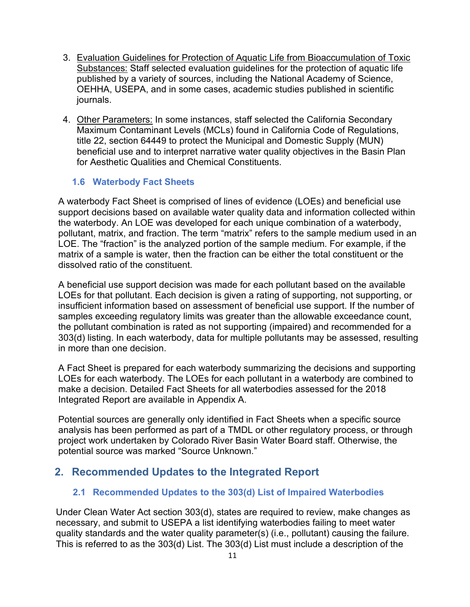- 3. Evaluation Guidelines for Protection of Aquatic Life from Bioaccumulation of Toxic Substances: Staff selected evaluation guidelines for the protection of aquatic life published by a variety of sources, including the National Academy of Science, OEHHA, USEPA, and in some cases, academic studies published in scientific journals.
- 4. Other Parameters: In some instances, staff selected the California Secondary Maximum Contaminant Levels (MCLs) found in California Code of Regulations, title 22, section 64449 to protect the Municipal and Domestic Supply (MUN) beneficial use and to interpret narrative water quality objectives in the Basin Plan for Aesthetic Qualities and Chemical Constituents.

#### <span id="page-10-0"></span>**1.6 Waterbody Fact Sheets**

A waterbody Fact Sheet is comprised of lines of evidence (LOEs) and beneficial use support decisions based on available water quality data and information collected within the waterbody. An LOE was developed for each unique combination of a waterbody, pollutant, matrix, and fraction. The term "matrix" refers to the sample medium used in an LOE. The "fraction" is the analyzed portion of the sample medium. For example, if the matrix of a sample is water, then the fraction can be either the total constituent or the dissolved ratio of the constituent.

A beneficial use support decision was made for each pollutant based on the available LOEs for that pollutant. Each decision is given a rating of supporting, not supporting, or insufficient information based on assessment of beneficial use support. If the number of samples exceeding regulatory limits was greater than the allowable exceedance count, the pollutant combination is rated as not supporting (impaired) and recommended for a 303(d) listing. In each waterbody, data for multiple pollutants may be assessed, resulting in more than one decision.

A Fact Sheet is prepared for each waterbody summarizing the decisions and supporting LOEs for each waterbody. The LOEs for each pollutant in a waterbody are combined to make a decision. Detailed Fact Sheets for all waterbodies assessed for the 2018 Integrated Report are available in Appendix A.

Potential sources are generally only identified in Fact Sheets when a specific source analysis has been performed as part of a TMDL or other regulatory process, or through project work undertaken by Colorado River Basin Water Board staff. Otherwise, the potential source was marked "Source Unknown."

### <span id="page-10-2"></span><span id="page-10-1"></span>**2. Recommended Updates to the Integrated Report**

#### **2.1 Recommended Updates to the 303(d) List of Impaired Waterbodies**

Under Clean Water Act section 303(d), states are required to review, make changes as necessary, and submit to USEPA a list identifying waterbodies failing to meet water quality standards and the water quality parameter(s) (i.e., pollutant) causing the failure. This is referred to as the 303(d) List. The 303(d) List must include a description of the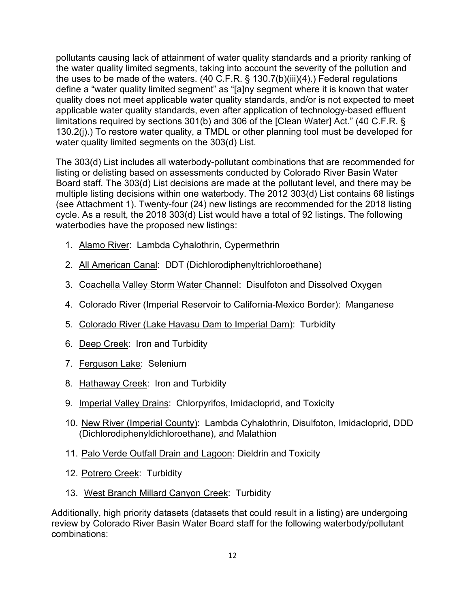pollutants causing lack of attainment of water quality standards and a priority ranking of the water quality limited segments, taking into account the severity of the pollution and the uses to be made of the waters. (40 C.F.R. § 130.7(b)(iii)(4).) Federal regulations define a "water quality limited segment" as "[a]ny segment where it is known that water quality does not meet applicable water quality standards, and/or is not expected to meet applicable water quality standards, even after application of technology-based effluent limitations required by sections 301(b) and 306 of the [Clean Water] Act." (40 C.F.R. § 130.2(j).) To restore water quality, a TMDL or other planning tool must be developed for water quality limited segments on the 303(d) List.

The 303(d) List includes all waterbody-pollutant combinations that are recommended for listing or delisting based on assessments conducted by Colorado River Basin Water Board staff. The 303(d) List decisions are made at the pollutant level, and there may be multiple listing decisions within one waterbody. The 2012 303(d) List contains 68 listings (see Attachment 1). Twenty-four (24) new listings are recommended for the 2018 listing cycle. As a result, the 2018 303(d) List would have a total of 92 listings. The following waterbodies have the proposed new listings:

- 1. Alamo River: Lambda Cyhalothrin, Cypermethrin
- 2. All American Canal: DDT (Dichlorodiphenyltrichloroethane)
- 3. Coachella Valley Storm Water Channel: Disulfoton and Dissolved Oxygen
- 4. Colorado River (Imperial Reservoir to California-Mexico Border): Manganese
- 5. Colorado River (Lake Havasu Dam to Imperial Dam): Turbidity
- 6. Deep Creek: Iron and Turbidity
- 7. Ferguson Lake: Selenium
- 8. Hathaway Creek: Iron and Turbidity
- 9. Imperial Valley Drains: Chlorpyrifos, Imidacloprid, and Toxicity
- 10. New River (Imperial County): Lambda Cyhalothrin, Disulfoton, Imidacloprid, DDD (Dichlorodiphenyldichloroethane), and Malathion
- 11. Palo Verde Outfall Drain and Lagoon: Dieldrin and Toxicity
- 12. Potrero Creek: Turbidity
- 13. West Branch Millard Canyon Creek: Turbidity

Additionally, high priority datasets (datasets that could result in a listing) are undergoing review by Colorado River Basin Water Board staff for the following waterbody/pollutant combinations: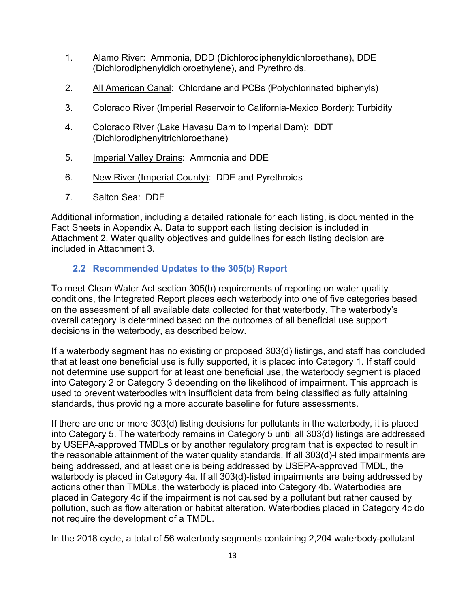- 1. Alamo River: Ammonia, DDD (Dichlorodiphenyldichloroethane), DDE (Dichlorodiphenyldichloroethylene), and Pyrethroids.
- 2. All American Canal: Chlordane and PCBs (Polychlorinated biphenyls)
- 3. Colorado River (Imperial Reservoir to California-Mexico Border): Turbidity
- 4. Colorado River (Lake Havasu Dam to Imperial Dam): DDT (Dichlorodiphenyltrichloroethane)
- 5. Imperial Valley Drains: Ammonia and DDE
- 6. New River (Imperial County): DDE and Pyrethroids
- 7. Salton Sea: DDE

Additional information, including a detailed rationale for each listing, is documented in the Fact Sheets in Appendix A. Data to support each listing decision is included in Attachment 2. Water quality objectives and guidelines for each listing decision are included in Attachment 3.

#### **2.2 Recommended Updates to the 305(b) Report**

<span id="page-12-0"></span>To meet Clean Water Act section 305(b) requirements of reporting on water quality conditions, the Integrated Report places each waterbody into one of five categories based on the assessment of all available data collected for that waterbody. The waterbody's overall category is determined based on the outcomes of all beneficial use support decisions in the waterbody, as described below.

If a waterbody segment has no existing or proposed 303(d) listings, and staff has concluded that at least one beneficial use is fully supported, it is placed into Category 1. If staff could not determine use support for at least one beneficial use, the waterbody segment is placed into Category 2 or Category 3 depending on the likelihood of impairment. This approach is used to prevent waterbodies with insufficient data from being classified as fully attaining standards, thus providing a more accurate baseline for future assessments.

If there are one or more 303(d) listing decisions for pollutants in the waterbody, it is placed into Category 5. The waterbody remains in Category 5 until all 303(d) listings are addressed by USEPA-approved TMDLs or by another regulatory program that is expected to result in the reasonable attainment of the water quality standards. If all 303(d)-listed impairments are being addressed, and at least one is being addressed by USEPA-approved TMDL, the waterbody is placed in Category 4a. If all 303(d)-listed impairments are being addressed by actions other than TMDLs, the waterbody is placed into Category 4b. Waterbodies are placed in Category 4c if the impairment is not caused by a pollutant but rather caused by pollution, such as flow alteration or habitat alteration. Waterbodies placed in Category 4c do not require the development of a TMDL.

In the 2018 cycle, a total of 56 waterbody segments containing 2,204 waterbody-pollutant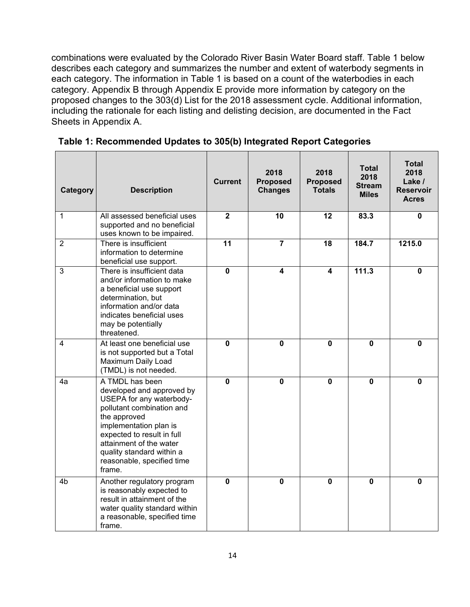combinations were evaluated by the Colorado River Basin Water Board staff. Table 1 below describes each category and summarizes the number and extent of waterbody segments in each category. The information in Table 1 is based on a count of the waterbodies in each category. Appendix B through Appendix E provide more information by category on the proposed changes to the 303(d) List for the 2018 assessment cycle. Additional information, including the rationale for each listing and delisting decision, are documented in the Fact Sheets in Appendix A.

| Category       | <b>Description</b>                                                                                                                                                                                                                                                            | <b>Current</b> | 2018<br><b>Proposed</b><br><b>Changes</b> | 2018<br><b>Proposed</b><br><b>Totals</b> | <b>Total</b><br>2018<br><b>Stream</b><br><b>Miles</b> | <b>Total</b><br>2018<br>Lake /<br><b>Reservoir</b><br><b>Acres</b> |
|----------------|-------------------------------------------------------------------------------------------------------------------------------------------------------------------------------------------------------------------------------------------------------------------------------|----------------|-------------------------------------------|------------------------------------------|-------------------------------------------------------|--------------------------------------------------------------------|
| 1              | All assessed beneficial uses<br>supported and no beneficial<br>uses known to be impaired.                                                                                                                                                                                     | $\overline{2}$ | 10                                        | 12                                       | 83.3                                                  | $\mathbf 0$                                                        |
| $\overline{2}$ | There is insufficient<br>information to determine<br>beneficial use support.                                                                                                                                                                                                  | 11             | $\overline{7}$                            | 18                                       | 184.7                                                 | 1215.0                                                             |
| 3              | There is insufficient data<br>and/or information to make<br>a beneficial use support<br>determination, but<br>information and/or data<br>indicates beneficial uses<br>may be potentially<br>threatened.                                                                       | $\mathbf 0$    | 4                                         | 4                                        | 111.3                                                 | 0                                                                  |
| 4              | At least one beneficial use<br>is not supported but a Total<br>Maximum Daily Load<br>(TMDL) is not needed.                                                                                                                                                                    | $\bf{0}$       | $\mathbf 0$                               | $\bf{0}$                                 | $\mathbf{0}$                                          | $\mathbf 0$                                                        |
| 4a             | A TMDL has been<br>developed and approved by<br>USEPA for any waterbody-<br>pollutant combination and<br>the approved<br>implementation plan is<br>expected to result in full<br>attainment of the water<br>quality standard within a<br>reasonable, specified time<br>frame. | $\mathbf{0}$   | $\mathbf 0$                               | $\bf{0}$                                 | $\mathbf{0}$                                          | 0                                                                  |
| 4 <sub>b</sub> | Another regulatory program<br>is reasonably expected to<br>result in attainment of the<br>water quality standard within<br>a reasonable, specified time<br>frame.                                                                                                             | $\mathbf{0}$   | 0                                         | $\bf{0}$                                 | $\mathbf{0}$                                          | 0                                                                  |

<span id="page-13-0"></span>**Table 1: Recommended Updates to 305(b) Integrated Report Categories**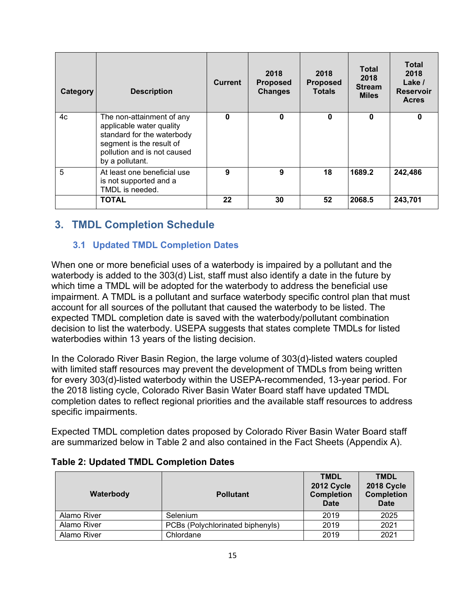| Category | <b>Description</b>                                                                                                                                                | <b>Current</b> | 2018<br><b>Proposed</b><br><b>Changes</b> | 2018<br><b>Proposed</b><br><b>Totals</b> | Total<br>2018<br><b>Stream</b><br><b>Miles</b> | <b>Total</b><br>2018<br>Lake /<br><b>Reservoir</b><br><b>Acres</b> |
|----------|-------------------------------------------------------------------------------------------------------------------------------------------------------------------|----------------|-------------------------------------------|------------------------------------------|------------------------------------------------|--------------------------------------------------------------------|
| 4c       | The non-attainment of any<br>applicable water quality<br>standard for the waterbody<br>segment is the result of<br>pollution and is not caused<br>by a pollutant. | 0              | 0                                         | $\bf{0}$                                 | 0                                              | $\mathbf{0}$                                                       |
| 5        | At least one beneficial use<br>is not supported and a<br>TMDL is needed.                                                                                          | 9              | 9                                         | 18                                       | 1689.2                                         | 242,486                                                            |
|          | <b>TOTAL</b>                                                                                                                                                      | 22             | 30                                        | 52                                       | 2068.5                                         | 243,701                                                            |

## <span id="page-14-0"></span>**3. TMDL Completion Schedule**

#### **3.1 Updated TMDL Completion Dates**

<span id="page-14-1"></span>When one or more beneficial uses of a waterbody is impaired by a pollutant and the waterbody is added to the 303(d) List, staff must also identify a date in the future by which time a TMDL will be adopted for the waterbody to address the beneficial use impairment. A TMDL is a pollutant and surface waterbody specific control plan that must account for all sources of the pollutant that caused the waterbody to be listed. The expected TMDL completion date is saved with the waterbody/pollutant combination decision to list the waterbody. USEPA suggests that states complete TMDLs for listed waterbodies within 13 years of the listing decision.

In the Colorado River Basin Region, the large volume of 303(d)-listed waters coupled with limited staff resources may prevent the development of TMDLs from being written for every 303(d)-listed waterbody within the USEPA-recommended, 13-year period. For the 2018 listing cycle, Colorado River Basin Water Board staff have updated TMDL completion dates to reflect regional priorities and the available staff resources to address specific impairments.

Expected TMDL completion dates proposed by Colorado River Basin Water Board staff are summarized below in Table 2 and also contained in the Fact Sheets (Appendix A).

| Waterbody   | <b>Pollutant</b>                 | <b>TMDL</b><br>2012 Cycle<br><b>Completion</b><br>Date | <b>TMDL</b><br>2018 Cycle<br><b>Completion</b><br><b>Date</b> |
|-------------|----------------------------------|--------------------------------------------------------|---------------------------------------------------------------|
| Alamo River | Selenium                         | 2019                                                   | 2025                                                          |
| Alamo River | PCBs (Polychlorinated biphenyls) | 2019                                                   | 2021                                                          |
| Alamo River | Chlordane                        | 2019                                                   | 2021                                                          |

#### <span id="page-14-2"></span>**Table 2: Updated TMDL Completion Dates**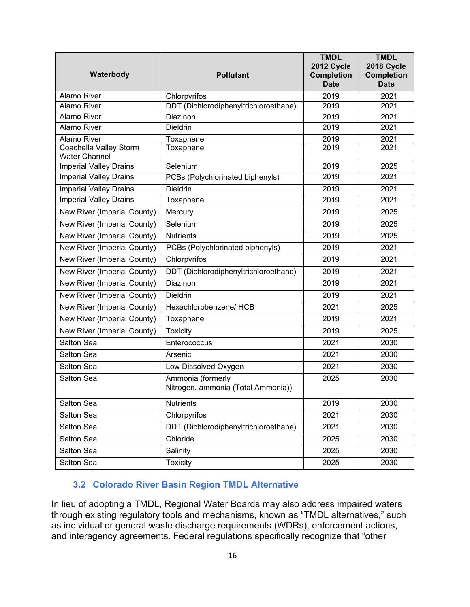| Waterbody                                      | <b>Pollutant</b>                                        | <b>TMDL</b><br>2012 Cycle<br><b>Completion</b><br><b>Date</b> | <b>TMDL</b><br>2018 Cycle<br><b>Completion</b><br><b>Date</b> |
|------------------------------------------------|---------------------------------------------------------|---------------------------------------------------------------|---------------------------------------------------------------|
| <b>Alamo River</b>                             | Chlorpyrifos                                            | 2019                                                          | 2021                                                          |
| Alamo River                                    | DDT (Dichlorodiphenyltrichloroethane)                   | 2019                                                          | 2021                                                          |
| <b>Alamo River</b>                             | Diazinon                                                | 2019                                                          | 2021                                                          |
| <b>Alamo River</b>                             | <b>Dieldrin</b>                                         | 2019                                                          | 2021                                                          |
| <b>Alamo River</b>                             | Toxaphene                                               | 2019                                                          | 2021                                                          |
| Coachella Valley Storm<br><b>Water Channel</b> | Toxaphene                                               | 2019                                                          | 2021                                                          |
| <b>Imperial Valley Drains</b>                  | Selenium                                                | 2019                                                          | 2025                                                          |
| <b>Imperial Valley Drains</b>                  | PCBs (Polychlorinated biphenyls)                        | 2019                                                          | 2021                                                          |
| <b>Imperial Valley Drains</b>                  | <b>Dieldrin</b>                                         | 2019                                                          | 2021                                                          |
| <b>Imperial Valley Drains</b>                  | Toxaphene                                               | 2019                                                          | 2021                                                          |
| New River (Imperial County)                    | Mercury                                                 | 2019                                                          | 2025                                                          |
| New River (Imperial County)                    | Selenium                                                | 2019                                                          | 2025                                                          |
| New River (Imperial County)                    | <b>Nutrients</b>                                        | 2019                                                          | 2025                                                          |
| New River (Imperial County)                    | PCBs (Polychlorinated biphenyls)                        | 2019                                                          | 2021                                                          |
| New River (Imperial County)                    | Chlorpyrifos                                            | 2019                                                          | 2021                                                          |
| New River (Imperial County)                    | DDT (Dichlorodiphenyltrichloroethane)                   | 2019                                                          | 2021                                                          |
| New River (Imperial County)                    | Diazinon                                                | 2019                                                          | 2021                                                          |
| New River (Imperial County)                    | <b>Dieldrin</b>                                         | 2019                                                          | 2021                                                          |
| New River (Imperial County)                    | Hexachlorobenzene/ HCB                                  | 2021                                                          | 2025                                                          |
| New River (Imperial County)                    | Toxaphene                                               | 2019                                                          | 2021                                                          |
| New River (Imperial County)                    | <b>Toxicity</b>                                         | 2019                                                          | 2025                                                          |
| Salton Sea                                     | Enterococcus                                            | 2021                                                          | 2030                                                          |
| Salton Sea                                     | Arsenic                                                 | 2021                                                          | 2030                                                          |
| Salton Sea                                     | Low Dissolved Oxygen                                    | 2021                                                          | 2030                                                          |
| Salton Sea                                     | Ammonia (formerly<br>Nitrogen, ammonia (Total Ammonia)) | 2025                                                          | 2030                                                          |
| Salton Sea                                     | <b>Nutrients</b>                                        | 2019                                                          | 2030                                                          |
| Salton Sea                                     | Chlorpyrifos                                            | 2021                                                          | 2030                                                          |
| Salton Sea                                     | DDT (Dichlorodiphenyltrichloroethane)                   | 2021                                                          | 2030                                                          |
| Salton Sea                                     | Chloride                                                | 2025                                                          | 2030                                                          |
| Salton Sea                                     | Salinity                                                | 2025                                                          | 2030                                                          |
| Salton Sea                                     | <b>Toxicity</b>                                         | 2025                                                          | 2030                                                          |

#### <span id="page-15-0"></span>**3.2 Colorado River Basin Region TMDL Alternative**

In lieu of adopting a TMDL, Regional Water Boards may also address impaired waters through existing regulatory tools and mechanisms, known as "TMDL alternatives," such as individual or general waste discharge requirements (WDRs), enforcement actions, and interagency agreements. Federal regulations specifically recognize that "other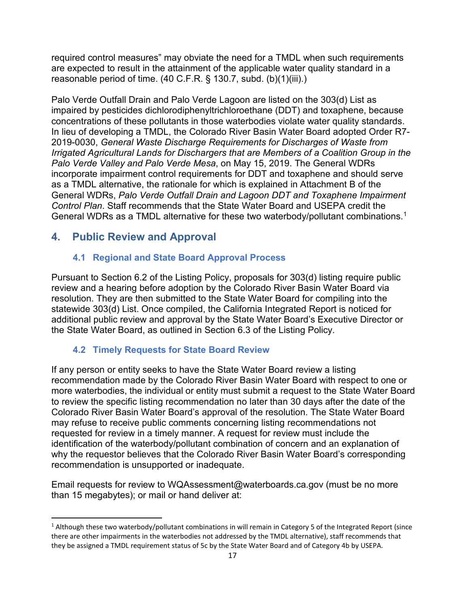required control measures" may obviate the need for a TMDL when such requirements are expected to result in the attainment of the applicable water quality standard in a reasonable period of time. (40 C.F.R. § 130.7, subd. (b)(1)(iii).)

Palo Verde Outfall Drain and Palo Verde Lagoon are listed on the 303(d) List as impaired by pesticides dichlorodiphenyltrichloroethane (DDT) and toxaphene, because concentrations of these pollutants in those waterbodies violate water quality standards. In lieu of developing a TMDL, the Colorado River Basin Water Board adopted Order R7- 2019-0030, *General Waste Discharge Requirements for Discharges of Waste from Irrigated Agricultural Lands for Dischargers that are Members of a Coalition Group in the Palo Verde Valley and Palo Verde Mesa*, on May 15, 2019. The General WDRs incorporate impairment control requirements for DDT and toxaphene and should serve as a TMDL alternative, the rationale for which is explained in Attachment B of the General WDRs, *Palo Verde Outfall Drain and Lagoon DDT and Toxaphene Impairment Control Plan*. Staff recommends that the State Water Board and USEPA credit the General WDRs as a TMDL alternative for these two waterbody/pollutant combinations.<sup>[1](#page-16-3)</sup>

### <span id="page-16-1"></span><span id="page-16-0"></span>**4. Public Review and Approval**

### **4.1 Regional and State Board Approval Process**

Pursuant to Section 6.2 of the Listing Policy, proposals for 303(d) listing require public review and a hearing before adoption by the Colorado River Basin Water Board via resolution. They are then submitted to the State Water Board for compiling into the statewide 303(d) List. Once compiled, the California Integrated Report is noticed for additional public review and approval by the State Water Board's Executive Director or the State Water Board, as outlined in Section 6.3 of the Listing Policy.

#### **4.2 Timely Requests for State Board Review**

<span id="page-16-2"></span>If any person or entity seeks to have the State Water Board review a listing recommendation made by the Colorado River Basin Water Board with respect to one or more waterbodies, the individual or entity must submit a request to the State Water Board to review the specific listing recommendation no later than 30 days after the date of the Colorado River Basin Water Board's approval of the resolution. The State Water Board may refuse to receive public comments concerning listing recommendations not requested for review in a timely manner. A request for review must include the identification of the waterbody/pollutant combination of concern and an explanation of why the requestor believes that the Colorado River Basin Water Board's corresponding recommendation is unsupported or inadequate.

Email requests for review to [WQAssessment@waterboards.ca.gov](mailto:WQAssessment@waterboards.ca.gov) (must be no more than 15 megabytes); or mail or hand deliver at:

<span id="page-16-3"></span><sup>&</sup>lt;sup>1</sup> Although these two waterbody/pollutant combinations in will remain in Category 5 of the Integrated Report (since there are other impairments in the waterbodies not addressed by the TMDL alternative), staff recommends that they be assigned a TMDL requirement status of 5c by the State Water Board and of Category 4b by USEPA.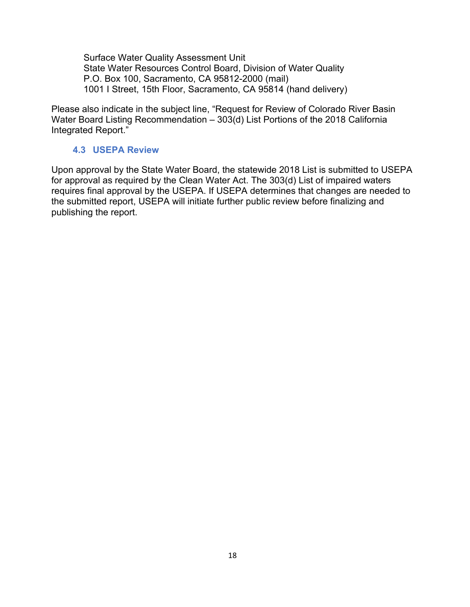Surface Water Quality Assessment Unit State Water Resources Control Board, Division of Water Quality P.O. Box 100, Sacramento, CA 95812-2000 (mail) 1001 I Street, 15th Floor, Sacramento, CA 95814 (hand delivery)

Please also indicate in the subject line, "Request for Review of Colorado River Basin Water Board Listing Recommendation – 303(d) List Portions of the 2018 California Integrated Report."

#### **4.3 USEPA Review**

<span id="page-17-0"></span>Upon approval by the State Water Board, the statewide 2018 List is submitted to USEPA for approval as required by the Clean Water Act. The 303(d) List of impaired waters requires final approval by the USEPA. If USEPA determines that changes are needed to the submitted report, USEPA will initiate further public review before finalizing and publishing the report.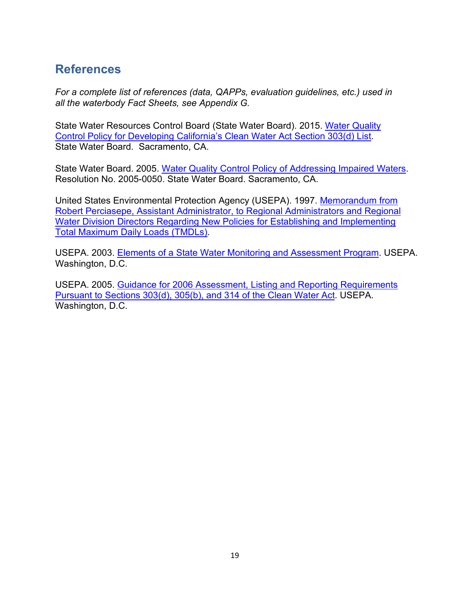## <span id="page-18-0"></span>**References**

*For a complete list of references (data, QAPPs, evaluation guidelines, etc.) used in all the waterbody Fact Sheets, see Appendix G.*

State Water Resources Control Board (State Water Board). 201[5. Water Quality](https://www.waterboards.ca.gov/water_issues/programs/tmdl/303d_listing.html)  [Control Policy for Developing](https://www.waterboards.ca.gov/water_issues/programs/tmdl/303d_listing.html) [California's Clean Water Act Section 303\(d\) List.](https://www.waterboards.ca.gov/water_issues/programs/tmdl/303d_listing.html) State Water Board. Sacramento, CA.

State Water Board. 2005. [Water Quality Control Policy of Addressing Impaired Waters.](https://www.waterboards.ca.gov/water_issues/programs/tmdl/docs/iw_policy.pdf) Resolution No. 2005-0050. State Water Board. Sacramento, CA.

United States Environmental Protection Agency (USEPA). 1997. [Memorandum from](https://www3.epa.gov/npdes/pubs/owm0124.pdf)  [Robert](https://www3.epa.gov/npdes/pubs/owm0124.pdf) [Perciasepe, Assistant Administrator, to Regional Administrators and Regional](https://www3.epa.gov/npdes/pubs/owm0124.pdf)  [Water Division Directors](https://www3.epa.gov/npdes/pubs/owm0124.pdf) [Regarding New Policies for Establishing and Implementing](https://www3.epa.gov/npdes/pubs/owm0124.pdf)  [Total Maximum Daily Loads \(TMDLs\).](https://www3.epa.gov/npdes/pubs/owm0124.pdf)

USEPA. 2003. [Elements of a State Water Monitoring and Assessment Program. U](https://www.epa.gov/sites/production/files/2019-03/documents/elements-state-water-monitoring-assessment-program.pdf)SEPA. Washington, D.C.

USEPA. 2005. [Guidance for 2006 Assessment, Listing and Reporting Requirements](https://www.epa.gov/sites/production/files/2015-10/documents/2006irg-report.pdf)  [Pursuant to Sections 303\(d\), 305\(b\), and 314 of the Clean Water Act.](https://www.epa.gov/sites/production/files/2015-10/documents/2006irg-report.pdf) USEPA. Washington, D.C.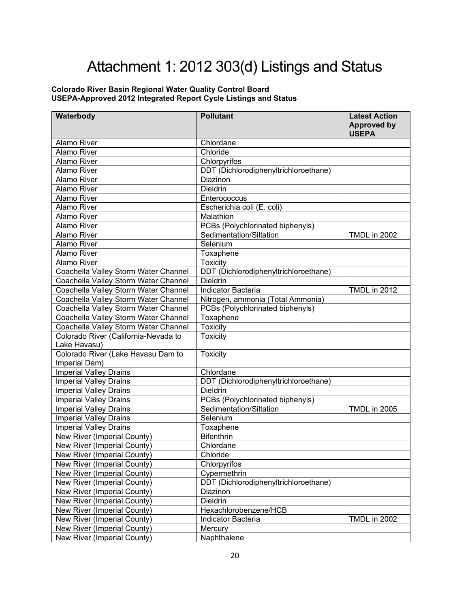# Attachment 1: 2012 303(d) Listings and Status

#### <span id="page-19-0"></span>**Colorado River Basin Regional Water Quality Control Board USEPA-Approved 2012 Integrated Report Cycle Listings and Status**

| Waterbody                                                      | <b>Pollutant</b>                                            | <b>Latest Action</b><br><b>Approved by</b><br><b>USEPA</b> |
|----------------------------------------------------------------|-------------------------------------------------------------|------------------------------------------------------------|
| <b>Alamo River</b>                                             | Chlordane                                                   |                                                            |
| <b>Alamo River</b>                                             | Chloride                                                    |                                                            |
| <b>Alamo River</b>                                             | Chlorpyrifos                                                |                                                            |
| <b>Alamo River</b>                                             | DDT (Dichlorodiphenyltrichloroethane)                       |                                                            |
| Alamo River                                                    | Diazinon                                                    |                                                            |
| <b>Alamo River</b>                                             | <b>Dieldrin</b>                                             |                                                            |
| <b>Alamo River</b>                                             | Enterococcus                                                |                                                            |
| <b>Alamo River</b>                                             | Escherichia coli (E. coli)                                  |                                                            |
| <b>Alamo River</b>                                             | Malathion                                                   |                                                            |
| <b>Alamo River</b>                                             | PCBs (Polychlorinated biphenyls)                            |                                                            |
| <b>Alamo River</b>                                             | Sedimentation/Siltation                                     | <b>TMDL in 2002</b>                                        |
| Alamo River                                                    | Selenium                                                    |                                                            |
| <b>Alamo River</b>                                             | Toxaphene                                                   |                                                            |
| <b>Alamo River</b>                                             | <b>Toxicity</b>                                             |                                                            |
| Coachella Valley Storm Water Channel                           | DDT (Dichlorodiphenyltrichloroethane)                       |                                                            |
| Coachella Valley Storm Water Channel                           | Dieldrin                                                    |                                                            |
| Coachella Valley Storm Water Channel                           | Indicator Bacteria                                          | <b>TMDL in 2012</b>                                        |
| Coachella Valley Storm Water Channel                           | Nitrogen, ammonia (Total Ammonia)                           |                                                            |
| Coachella Valley Storm Water Channel                           | PCBs (Polychlorinated biphenyls)                            |                                                            |
| Coachella Valley Storm Water Channel                           | Toxaphene                                                   |                                                            |
| Coachella Valley Storm Water Channel                           | <b>Toxicity</b>                                             |                                                            |
| Colorado River (California-Nevada to<br>Lake Havasu)           | <b>Toxicity</b>                                             |                                                            |
| Colorado River (Lake Havasu Dam to                             | <b>Toxicity</b>                                             |                                                            |
| Imperial Dam)                                                  |                                                             |                                                            |
| <b>Imperial Valley Drains</b>                                  | Chlordane                                                   |                                                            |
| <b>Imperial Valley Drains</b>                                  | DDT (Dichlorodiphenyltrichloroethane)<br><b>Dieldrin</b>    |                                                            |
| <b>Imperial Valley Drains</b>                                  |                                                             |                                                            |
| <b>Imperial Valley Drains</b>                                  | PCBs (Polychlorinated biphenyls)<br>Sedimentation/Siltation | <b>TMDL in 2005</b>                                        |
| <b>Imperial Valley Drains</b><br><b>Imperial Valley Drains</b> | Selenium                                                    |                                                            |
| <b>Imperial Valley Drains</b>                                  | Toxaphene                                                   |                                                            |
| New River (Imperial County)                                    | <b>Bifenthrin</b>                                           |                                                            |
| New River (Imperial County)                                    | Chlordane                                                   |                                                            |
| New River (Imperial County)                                    | Chloride                                                    |                                                            |
| New River (Imperial County)                                    | Chlorpyrifos                                                |                                                            |
| New River (Imperial County)                                    | Cypermethrin                                                |                                                            |
| New River (Imperial County)                                    | DDT (Dichlorodiphenyltrichloroethane)                       |                                                            |
| New River (Imperial County)                                    | Diazinon                                                    |                                                            |
| New River (Imperial County)                                    | Dieldrin                                                    |                                                            |
| New River (Imperial County)                                    | Hexachlorobenzene/HCB                                       |                                                            |
| New River (Imperial County)                                    | Indicator Bacteria                                          | <b>TMDL in 2002</b>                                        |
| New River (Imperial County)                                    | Mercury                                                     |                                                            |
| New River (Imperial County)                                    | Naphthalene                                                 |                                                            |
|                                                                |                                                             |                                                            |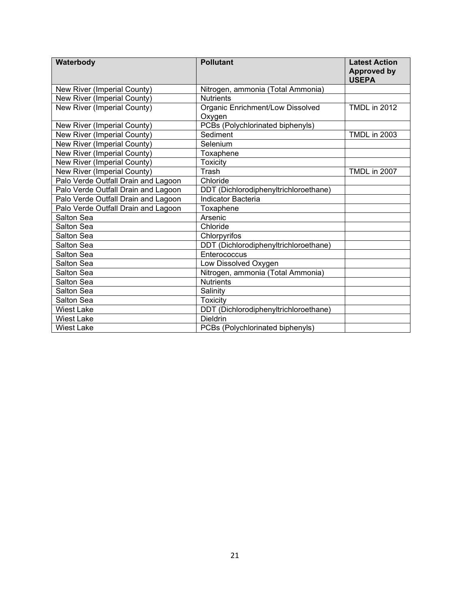| Waterbody                           | <b>Pollutant</b>                           | <b>Latest Action</b><br><b>Approved by</b><br><b>USEPA</b> |
|-------------------------------------|--------------------------------------------|------------------------------------------------------------|
| New River (Imperial County)         | Nitrogen, ammonia (Total Ammonia)          |                                                            |
| New River (Imperial County)         | <b>Nutrients</b>                           |                                                            |
| New River (Imperial County)         | Organic Enrichment/Low Dissolved<br>Oxygen | <b>TMDL in 2012</b>                                        |
| New River (Imperial County)         | PCBs (Polychlorinated biphenyls)           |                                                            |
| New River (Imperial County)         | Sediment                                   | <b>TMDL in 2003</b>                                        |
| New River (Imperial County)         | Selenium                                   |                                                            |
| New River (Imperial County)         | Toxaphene                                  |                                                            |
| New River (Imperial County)         | <b>Toxicity</b>                            |                                                            |
| New River (Imperial County)         | Trash                                      | <b>TMDL in 2007</b>                                        |
| Palo Verde Outfall Drain and Lagoon | Chloride                                   |                                                            |
| Palo Verde Outfall Drain and Lagoon | DDT (Dichlorodiphenyltrichloroethane)      |                                                            |
| Palo Verde Outfall Drain and Lagoon | <b>Indicator Bacteria</b>                  |                                                            |
| Palo Verde Outfall Drain and Lagoon | Toxaphene                                  |                                                            |
| Salton Sea                          | Arsenic                                    |                                                            |
| Salton Sea                          | Chloride                                   |                                                            |
| Salton Sea                          | Chlorpyrifos                               |                                                            |
| Salton Sea                          | DDT (Dichlorodiphenyltrichloroethane)      |                                                            |
| Salton Sea                          | Enterococcus                               |                                                            |
| Salton Sea                          | Low Dissolved Oxygen                       |                                                            |
| Salton Sea                          | Nitrogen, ammonia (Total Ammonia)          |                                                            |
| Salton Sea                          | <b>Nutrients</b>                           |                                                            |
| Salton Sea                          | Salinity                                   |                                                            |
| Salton Sea                          | <b>Toxicity</b>                            |                                                            |
| <b>Wiest Lake</b>                   | DDT (Dichlorodiphenyltrichloroethane)      |                                                            |
| <b>Wiest Lake</b>                   | <b>Dieldrin</b>                            |                                                            |
| Wiest Lake                          | PCBs (Polychlorinated biphenyls)           |                                                            |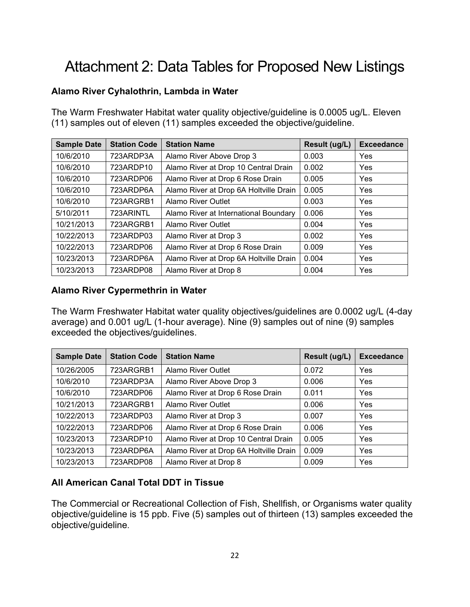# <span id="page-21-0"></span>Attachment 2: Data Tables for Proposed New Listings

#### **Alamo River Cyhalothrin, Lambda in Water**

The Warm Freshwater Habitat water quality objective/guideline is 0.0005 ug/L. Eleven (11) samples out of eleven (11) samples exceeded the objective/guideline.

| <b>Sample Date</b> | <b>Station Code</b> | <b>Station Name</b>                    | Result (ug/L) | <b>Exceedance</b> |
|--------------------|---------------------|----------------------------------------|---------------|-------------------|
| 10/6/2010          | 723ARDP3A           | Alamo River Above Drop 3               | 0.003         | Yes               |
| 10/6/2010          | 723ARDP10           | Alamo River at Drop 10 Central Drain   | 0.002         | Yes               |
| 10/6/2010          | 723ARDP06           | Alamo River at Drop 6 Rose Drain       | 0.005         | Yes               |
| 10/6/2010          | 723ARDP6A           | Alamo River at Drop 6A Holtville Drain | 0.005         | Yes               |
| 10/6/2010          | 723ARGRB1           | <b>Alamo River Outlet</b>              | 0.003         | Yes               |
| 5/10/2011          | 723ARINTL           | Alamo River at International Boundary  | 0.006         | Yes               |
| 10/21/2013         | 723ARGRB1           | Alamo River Outlet                     | 0.004         | Yes               |
| 10/22/2013         | 723ARDP03           | Alamo River at Drop 3                  | 0.002         | Yes               |
| 10/22/2013         | 723ARDP06           | Alamo River at Drop 6 Rose Drain       | 0.009         | Yes               |
| 10/23/2013         | 723ARDP6A           | Alamo River at Drop 6A Holtville Drain | 0.004         | Yes               |
| 10/23/2013         | 723ARDP08           | Alamo River at Drop 8                  | 0.004         | Yes               |

#### **Alamo River Cypermethrin in Water**

The Warm Freshwater Habitat water quality objectives/guidelines are 0.0002 ug/L (4-day average) and 0.001 ug/L (1-hour average). Nine (9) samples out of nine (9) samples exceeded the objectives/guidelines.

| <b>Sample Date</b> | <b>Station Code</b> | <b>Station Name</b>                    | Result (ug/L) | <b>Exceedance</b> |
|--------------------|---------------------|----------------------------------------|---------------|-------------------|
| 10/26/2005         | 723ARGRB1           | <b>Alamo River Outlet</b>              | 0.072         | Yes               |
| 10/6/2010          | 723ARDP3A           | Alamo River Above Drop 3               | 0.006         | Yes               |
| 10/6/2010          | 723ARDP06           | Alamo River at Drop 6 Rose Drain       | 0.011         | Yes               |
| 10/21/2013         | 723ARGRB1           | <b>Alamo River Outlet</b>              | 0.006         | Yes               |
| 10/22/2013         | 723ARDP03           | Alamo River at Drop 3                  | 0.007         | Yes               |
| 10/22/2013         | 723ARDP06           | Alamo River at Drop 6 Rose Drain       | 0.006         | Yes               |
| 10/23/2013         | 723ARDP10           | Alamo River at Drop 10 Central Drain   | 0.005         | Yes               |
| 10/23/2013         | 723ARDP6A           | Alamo River at Drop 6A Holtville Drain | 0.009         | Yes               |
| 10/23/2013         | 723ARDP08           | Alamo River at Drop 8                  | 0.009         | Yes               |

#### **All American Canal Total DDT in Tissue**

The Commercial or Recreational Collection of Fish, Shellfish, or Organisms water quality objective/guideline is 15 ppb. Five (5) samples out of thirteen (13) samples exceeded the objective/guideline.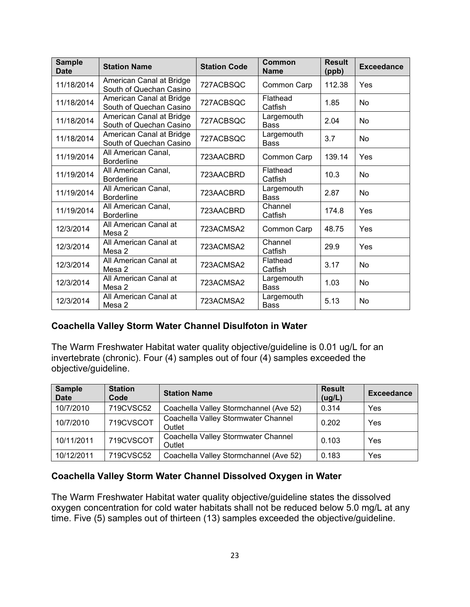| <b>Sample</b><br><b>Date</b> | <b>Station Name</b>                                 | <b>Station Code</b> | Common<br><b>Name</b>     | <b>Result</b><br>(ppb) | <b>Exceedance</b> |
|------------------------------|-----------------------------------------------------|---------------------|---------------------------|------------------------|-------------------|
| 11/18/2014                   | American Canal at Bridge<br>South of Quechan Casino | 727ACBSQC           | Common Carp               | 112.38                 | Yes               |
| 11/18/2014                   | American Canal at Bridge<br>South of Quechan Casino | 727ACBSQC           | Flathead<br>Catfish       | 1.85                   | No                |
| 11/18/2014                   | American Canal at Bridge<br>South of Quechan Casino | 727ACBSQC           | Largemouth<br><b>Bass</b> | 2.04                   | No                |
| 11/18/2014                   | American Canal at Bridge<br>South of Quechan Casino | 727ACBSQC           | Largemouth<br>Bass        | 3.7                    | <b>No</b>         |
| 11/19/2014                   | All American Canal,<br><b>Borderline</b>            | 723AACBRD           | Common Carp               | 139.14                 | Yes               |
| 11/19/2014                   | All American Canal,<br><b>Borderline</b>            | 723AACBRD           | Flathead<br>Catfish       | 10.3                   | No                |
| 11/19/2014                   | All American Canal,<br><b>Borderline</b>            | 723AACBRD           | Largemouth<br><b>Bass</b> | 2.87                   | <b>No</b>         |
| 11/19/2014                   | All American Canal,<br><b>Borderline</b>            | 723AACBRD           | Channel<br>Catfish        | 174.8                  | Yes               |
| 12/3/2014                    | All American Canal at<br>Mesa 2                     | 723ACMSA2           | Common Carp               | 48.75                  | Yes               |
| 12/3/2014                    | All American Canal at<br>Mesa 2                     | 723ACMSA2           | Channel<br>Catfish        | 29.9                   | Yes               |
| 12/3/2014                    | All American Canal at<br>Mesa 2                     | 723ACMSA2           | Flathead<br>Catfish       | 3.17                   | No                |
| 12/3/2014                    | All American Canal at<br>Mesa 2                     | 723ACMSA2           | Largemouth<br>Bass        | 1.03                   | No                |
| 12/3/2014                    | All American Canal at<br>Mesa 2                     | 723ACMSA2           | Largemouth<br><b>Bass</b> | 5.13                   | <b>No</b>         |

#### **Coachella Valley Storm Water Channel Disulfoton in Water**

The Warm Freshwater Habitat water quality objective/guideline is 0.01 ug/L for an invertebrate (chronic). Four (4) samples out of four (4) samples exceeded the objective/guideline.

| <b>Sample</b><br><b>Date</b> | <b>Station</b><br>Code | <b>Station Name</b>                           | <b>Result</b><br>(ug/L) | <b>Exceedance</b> |
|------------------------------|------------------------|-----------------------------------------------|-------------------------|-------------------|
| 10/7/2010                    | 719CVSC52              | Coachella Valley Stormchannel (Ave 52)        | 0.314                   | Yes               |
| 10/7/2010                    | 719CVSCOT              | Coachella Valley Stormwater Channel<br>Outlet | 0.202                   | <b>Yes</b>        |
| 10/11/2011                   | 719CVSCOT              | Coachella Valley Stormwater Channel<br>Outlet | 0.103                   | Yes               |
| 10/12/2011                   | 719CVSC52              | Coachella Valley Stormchannel (Ave 52)        | 0.183                   | Yes               |

#### **Coachella Valley Storm Water Channel Dissolved Oxygen in Water**

The Warm Freshwater Habitat water quality objective/guideline states the dissolved oxygen concentration for cold water habitats shall not be reduced below 5.0 mg/L at any time. Five (5) samples out of thirteen (13) samples exceeded the objective/guideline.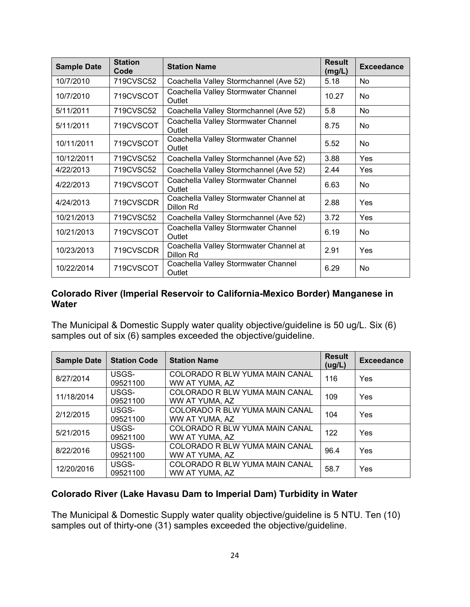| <b>Sample Date</b> | <b>Station</b><br>Code | <b>Station Name</b>                                 | <b>Result</b><br>(mg/L) | <b>Exceedance</b> |
|--------------------|------------------------|-----------------------------------------------------|-------------------------|-------------------|
| 10/7/2010          | 719CVSC52              | Coachella Valley Stormchannel (Ave 52)              | 5.18                    | No.               |
| 10/7/2010          | 719CVSCOT              | Coachella Valley Stormwater Channel<br>Outlet       | 10.27                   | No                |
| 5/11/2011          | 719CVSC52              | Coachella Valley Stormchannel (Ave 52)              | 5.8                     | No.               |
| 5/11/2011          | 719CVSCOT              | Coachella Valley Stormwater Channel<br>Outlet       | 8.75                    | No.               |
| 10/11/2011         | 719CVSCOT              | Coachella Valley Stormwater Channel<br>Outlet       | 5.52                    | No                |
| 10/12/2011         | 719CVSC52              | Coachella Valley Stormchannel (Ave 52)              | 3.88                    | Yes               |
| 4/22/2013          | 719CVSC52              | Coachella Valley Stormchannel (Ave 52)              | 2.44                    | Yes               |
| 4/22/2013          | 719CVSCOT              | Coachella Valley Stormwater Channel<br>Outlet       | 6.63                    | <b>No</b>         |
| 4/24/2013          | 719CVSCDR              | Coachella Valley Stormwater Channel at<br>Dillon Rd | 2.88                    | <b>Yes</b>        |
| 10/21/2013         | 719CVSC52              | Coachella Valley Stormchannel (Ave 52)              | 3.72                    | Yes               |
| 10/21/2013         | 719CVSCOT              | Coachella Valley Stormwater Channel<br>Outlet       | 6.19                    | No.               |
| 10/23/2013         | 719CVSCDR              | Coachella Valley Stormwater Channel at<br>Dillon Rd | 2.91                    | <b>Yes</b>        |
| 10/22/2014         | 719CVSCOT              | Coachella Valley Stormwater Channel<br>Outlet       | 6.29                    | No.               |

#### **Colorado River (Imperial Reservoir to California-Mexico Border) Manganese in Water**

The Municipal & Domestic Supply water quality objective/guideline is 50 ug/L. Six (6) samples out of six (6) samples exceeded the objective/guideline.

| <b>Sample Date</b> | <b>Station Code</b> | <b>Station Name</b>                              | <b>Result</b><br>(ug/L) | <b>Exceedance</b> |
|--------------------|---------------------|--------------------------------------------------|-------------------------|-------------------|
| 8/27/2014          | USGS-<br>09521100   | COLORADO R BLW YUMA MAIN CANAL<br>WW AT YUMA, AZ | 116                     | Yes               |
| 11/18/2014         | USGS-<br>09521100   | COLORADO R BLW YUMA MAIN CANAL<br>WW AT YUMA, AZ | 109                     | Yes               |
| 2/12/2015          | USGS-<br>09521100   | COLORADO R BLW YUMA MAIN CANAL<br>WW AT YUMA, AZ | 104                     | Yes               |
| 5/21/2015          | USGS-<br>09521100   | COLORADO R BLW YUMA MAIN CANAL<br>WW AT YUMA, AZ | 122                     | Yes               |
| 8/22/2016          | USGS-<br>09521100   | COLORADO R BLW YUMA MAIN CANAL<br>WW AT YUMA, AZ | 96.4                    | Yes               |
| 12/20/2016         | USGS-<br>09521100   | COLORADO R BLW YUMA MAIN CANAL<br>WW AT YUMA. AZ | 58.7                    | Yes               |

#### **Colorado River (Lake Havasu Dam to Imperial Dam) Turbidity in Water**

The Municipal & Domestic Supply water quality objective/guideline is 5 NTU. Ten (10) samples out of thirty-one (31) samples exceeded the objective/guideline.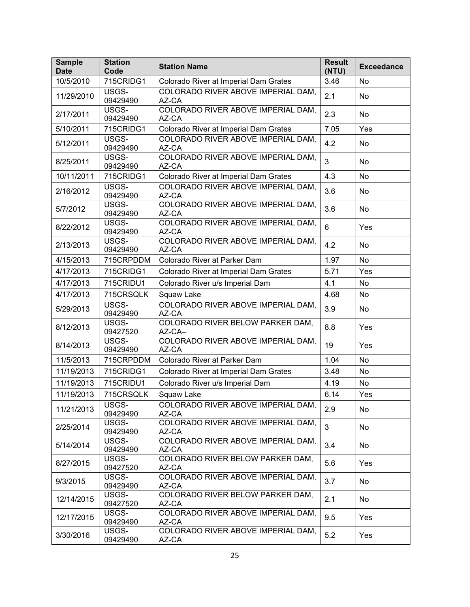| <b>Sample</b><br><b>Date</b> | <b>Station</b><br>Code | <b>Station Name</b>                         | <b>Result</b><br>(NTU) | <b>Exceedance</b> |
|------------------------------|------------------------|---------------------------------------------|------------------------|-------------------|
| 10/5/2010                    | 715CRIDG1              | Colorado River at Imperial Dam Grates       | 3.46                   | No                |
| 11/29/2010                   | USGS-<br>09429490      | COLORADO RIVER ABOVE IMPERIAL DAM,<br>AZ-CA | 2.1                    | No                |
| 2/17/2011                    | USGS-<br>09429490      | COLORADO RIVER ABOVE IMPERIAL DAM,<br>AZ-CA | 2.3                    | No                |
| 5/10/2011                    | 715CRIDG1              | Colorado River at Imperial Dam Grates       | 7.05                   | Yes               |
| 5/12/2011                    | USGS-<br>09429490      | COLORADO RIVER ABOVE IMPERIAL DAM,<br>AZ-CA | 4.2                    | No                |
| 8/25/2011                    | USGS-<br>09429490      | COLORADO RIVER ABOVE IMPERIAL DAM,<br>AZ-CA | $\mathfrak{S}$         | No                |
| 10/11/2011                   | 715CRIDG1              | Colorado River at Imperial Dam Grates       | 4.3                    | No                |
| 2/16/2012                    | USGS-<br>09429490      | COLORADO RIVER ABOVE IMPERIAL DAM,<br>AZ-CA | 3.6                    | No                |
| 5/7/2012                     | USGS-<br>09429490      | COLORADO RIVER ABOVE IMPERIAL DAM,<br>AZ-CA | 3.6                    | No                |
| 8/22/2012                    | USGS-<br>09429490      | COLORADO RIVER ABOVE IMPERIAL DAM.<br>AZ-CA | 6                      | Yes               |
| 2/13/2013                    | USGS-<br>09429490      | COLORADO RIVER ABOVE IMPERIAL DAM,<br>AZ-CA | 4.2                    | No                |
| 4/15/2013                    | 715CRPDDM              | Colorado River at Parker Dam                | 1.97                   | <b>No</b>         |
| 4/17/2013                    | 715CRIDG1              | Colorado River at Imperial Dam Grates       | 5.71                   | Yes               |
| 4/17/2013                    | 715CRIDU1              | Colorado River u/s Imperial Dam             | 4.1                    | No                |
| 4/17/2013                    | 715CRSQLK              | Squaw Lake                                  | 4.68                   | No                |
| 5/29/2013                    | USGS-<br>09429490      | COLORADO RIVER ABOVE IMPERIAL DAM,<br>AZ-CA | 3.9                    | No                |
| 8/12/2013                    | USGS-<br>09427520      | COLORADO RIVER BELOW PARKER DAM,<br>AZ-CA-  | 8.8                    | Yes               |
| 8/14/2013                    | USGS-<br>09429490      | COLORADO RIVER ABOVE IMPERIAL DAM,<br>AZ-CA | 19                     | Yes               |
| 11/5/2013                    | 715CRPDDM              | Colorado River at Parker Dam                | 1.04                   | No                |
| 11/19/2013                   | 715CRIDG1              | Colorado River at Imperial Dam Grates       | 3.48                   | No                |
| 11/19/2013                   | 715CRIDU1              | Colorado River u/s Imperial Dam             | 4.19                   | No                |
| 11/19/2013                   | 715CRSQLK              | Squaw Lake                                  | 6.14                   | Yes               |
| 11/21/2013                   | USGS-<br>09429490      | COLORADO RIVER ABOVE IMPERIAL DAM,<br>AZ-CA | 2.9                    | No                |
| 2/25/2014                    | USGS-<br>09429490      | COLORADO RIVER ABOVE IMPERIAL DAM,<br>AZ-CA | $\mathbf{3}$           | No                |
| 5/14/2014                    | USGS-<br>09429490      | COLORADO RIVER ABOVE IMPERIAL DAM,<br>AZ-CA | 3.4                    | No                |
| 8/27/2015                    | USGS-<br>09427520      | COLORADO RIVER BELOW PARKER DAM,<br>AZ-CA   | 5.6                    | Yes               |
| 9/3/2015                     | USGS-<br>09429490      | COLORADO RIVER ABOVE IMPERIAL DAM,<br>AZ-CA | 3.7                    | No                |
| 12/14/2015                   | USGS-<br>09427520      | COLORADO RIVER BELOW PARKER DAM.<br>AZ-CA   | 2.1                    | No                |
| 12/17/2015                   | USGS-<br>09429490      | COLORADO RIVER ABOVE IMPERIAL DAM,<br>AZ-CA | 9.5                    | Yes               |
| 3/30/2016                    | USGS-<br>09429490      | COLORADO RIVER ABOVE IMPERIAL DAM,<br>AZ-CA | 5.2                    | Yes               |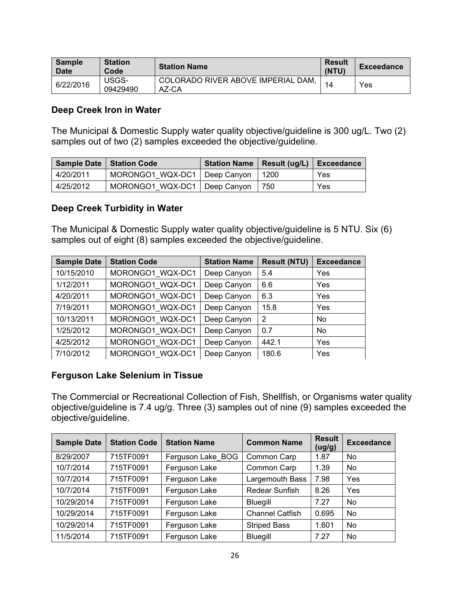| Sample<br><b>Date</b> | <b>Station</b><br>Code | <b>Station Name</b>                         | <b>Result</b><br>(NTU) | <b>Exceedance</b> |
|-----------------------|------------------------|---------------------------------------------|------------------------|-------------------|
| 6/22/2016             | USGS-<br>09429490      | COLORADO RIVER ABOVE IMPERIAL DAM,<br>AZ-CA | 14                     | Yes               |

#### **Deep Creek Iron in Water**

The Municipal & Domestic Supply water quality objective/guideline is 300 ug/L. Two (2) samples out of two (2) samples exceeded the objective/guideline.

|           | <b>Sample Date   Station Code</b> | Station Name   Result (ug/L)   Exceedance |      |     |
|-----------|-----------------------------------|-------------------------------------------|------|-----|
| 4/20/2011 | MORONGO1 WQX-DC1   Deep Canyon    |                                           | 1200 | Yes |
| 4/25/2012 | MORONGO1 WQX-DC1   Deep Canyon    |                                           | 750  | Yes |

#### **Deep Creek Turbidity in Water**

The Municipal & Domestic Supply water quality objective/guideline is 5 NTU. Six (6) samples out of eight (8) samples exceeded the objective/guideline.

| <b>Sample Date</b> | <b>Station Code</b> | <b>Station Name</b> | <b>Result (NTU)</b> | <b>Exceedance</b> |
|--------------------|---------------------|---------------------|---------------------|-------------------|
| 10/15/2010         | MORONGO1 WQX-DC1    | Deep Canyon         | 5.4                 | Yes               |
| 1/12/2011          | MORONGO1 WQX-DC1    | Deep Canyon         | 6.6                 | Yes               |
| 4/20/2011          | MORONGO1 WQX-DC1    | Deep Canyon         | 6.3                 | Yes               |
| 7/19/2011          | MORONGO1 WQX-DC1    | Deep Canyon         | 15.8                | Yes               |
| 10/13/2011         | MORONGO1 WQX-DC1    | Deep Canyon         | $\overline{2}$      | <b>No</b>         |
| 1/25/2012          | MORONGO1 WQX-DC1    | Deep Canyon         | 0.7                 | <b>No</b>         |
| 4/25/2012          | MORONGO1 WQX-DC1    | Deep Canyon         | 442.1               | Yes               |
| 7/10/2012          | MORONGO1 WQX-DC1    | Deep Canyon         | 180.6               | Yes               |

#### **Ferguson Lake Selenium in Tissue**

The Commercial or Recreational Collection of Fish, Shellfish, or Organisms water quality objective/guideline is 7.4 ug/g. Three (3) samples out of nine (9) samples exceeded the objective/guideline.

| <b>Sample Date</b> | <b>Station Code</b> | <b>Station Name</b> | <b>Common Name</b>     | <b>Result</b><br>(ug/g) | <b>Exceedance</b> |
|--------------------|---------------------|---------------------|------------------------|-------------------------|-------------------|
| 8/29/2007          | 715TF0091           | Ferguson Lake BOG   | Common Carp            | 1.87                    | <b>No</b>         |
| 10/7/2014          | 715TF0091           | Ferguson Lake       | Common Carp            | 1.39                    | <b>No</b>         |
| 10/7/2014          | 715TF0091           | Ferguson Lake       | Largemouth Bass        | 7.98                    | Yes               |
| 10/7/2014          | 715TF0091           | Ferguson Lake       | Redear Sunfish         | 8.26                    | Yes               |
| 10/29/2014         | 715TF0091           | Ferguson Lake       | Bluegill               | 7.27                    | <b>No</b>         |
| 10/29/2014         | 715TF0091           | Ferguson Lake       | <b>Channel Catfish</b> | 0.695                   | <b>No</b>         |
| 10/29/2014         | 715TF0091           | Ferguson Lake       | <b>Striped Bass</b>    | 1.601                   | <b>No</b>         |
| 11/5/2014          | 715TF0091           | Ferguson Lake       | Bluegill               | 7.27                    | No                |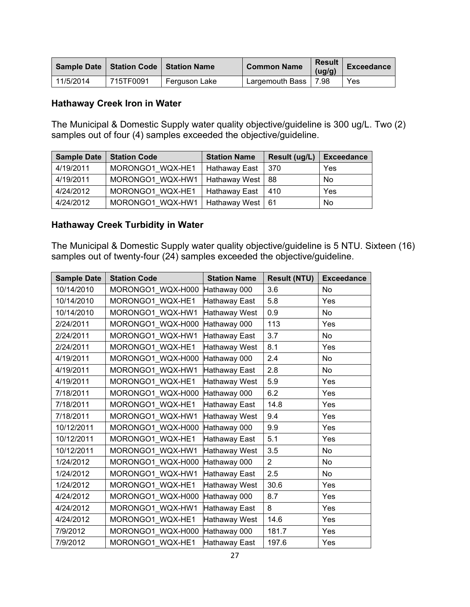| <b>Sample Date</b> |           | <b>Station Code   Station Name</b> | <b>Common Name</b> | <b>Result</b><br>(ug/g) | Exceedance |
|--------------------|-----------|------------------------------------|--------------------|-------------------------|------------|
| 11/5/2014          | 715TF0091 | Ferguson Lake                      | Largemouth Bass    | 7.98                    | Yes        |

#### **Hathaway Creek Iron in Water**

The Municipal & Domestic Supply water quality objective/guideline is 300 ug/L. Two (2) samples out of four (4) samples exceeded the objective/guideline.

| <b>Sample Date</b> | <b>Station Code</b>              | <b>Station Name</b>  | Result (ug/L) | <b>Exceedance</b> |
|--------------------|----------------------------------|----------------------|---------------|-------------------|
| 4/19/2011          | MORONGO1 WQX-HE1                 | <b>Hathaway East</b> | 370           | Yes               |
| 4/19/2011          | MORONGO1 WQX-HW1   Hathaway West |                      | 88            | No                |
| 4/24/2012          | MORONGO1 WQX-HE1                 | ∣ Hathaway East      | 410           | Yes               |
| 4/24/2012          | MORONGO1 WQX-HW1   Hathaway West |                      | -61           | No                |

#### **Hathaway Creek Turbidity in Water**

The Municipal & Domestic Supply water quality objective/guideline is 5 NTU. Sixteen (16) samples out of twenty-four (24) samples exceeded the objective/guideline.

| <b>Sample Date</b> | <b>Station Code</b> | <b>Station Name</b>  | <b>Result (NTU)</b> | <b>Exceedance</b> |
|--------------------|---------------------|----------------------|---------------------|-------------------|
| 10/14/2010         | MORONGO1 WQX-H000   | Hathaway 000         | 3.6                 | No                |
| 10/14/2010         | MORONGO1 WQX-HE1    | Hathaway East        | 5.8                 | Yes               |
| 10/14/2010         | MORONGO1_WQX-HW1    | Hathaway West        | 0.9                 | No                |
| 2/24/2011          | MORONGO1_WQX-H000   | Hathaway 000         | 113                 | Yes               |
| 2/24/2011          | MORONGO1_WQX-HW1    | Hathaway East        | 3.7                 | No                |
| 2/24/2011          | MORONGO1 WQX-HE1    | <b>Hathaway West</b> | 8.1                 | Yes               |
| 4/19/2011          | MORONGO1_WQX-H000   | Hathaway 000         | 2.4                 | <b>No</b>         |
| 4/19/2011          | MORONGO1 WQX-HW1    | Hathaway East        | 2.8                 | No                |
| 4/19/2011          | MORONGO1 WQX-HE1    | Hathaway West        | 5.9                 | Yes               |
| 7/18/2011          | MORONGO1 WQX-H000   | Hathaway 000         | 6.2                 | Yes               |
| 7/18/2011          | MORONGO1 WQX-HE1    | Hathaway East        | 14.8                | Yes               |
| 7/18/2011          | MORONGO1 WQX-HW1    | Hathaway West        | 9.4                 | Yes               |
| 10/12/2011         | MORONGO1_WQX-H000   | Hathaway 000         | 9.9                 | Yes               |
| 10/12/2011         | MORONGO1_WQX-HE1    | Hathaway East        | 5.1                 | Yes               |
| 10/12/2011         | MORONGO1 WQX-HW1    | Hathaway West        | 3.5                 | No                |
| 1/24/2012          | MORONGO1_WQX-H000   | Hathaway 000         | $\overline{2}$      | No                |
| 1/24/2012          | MORONGO1 WQX-HW1    | Hathaway East        | 2.5                 | No                |
| 1/24/2012          | MORONGO1_WQX-HE1    | Hathaway West        | 30.6                | Yes               |
| 4/24/2012          | MORONGO1_WQX-H000   | Hathaway 000         | 8.7                 | Yes               |
| 4/24/2012          | MORONGO1 WQX-HW1    | Hathaway East        | 8                   | Yes               |
| 4/24/2012          | MORONGO1_WQX-HE1    | Hathaway West        | 14.6                | Yes               |
| 7/9/2012           | MORONGO1 WQX-H000   | Hathaway 000         | 181.7               | Yes               |
| 7/9/2012           | MORONGO1 WQX-HE1    | Hathaway East        | 197.6               | Yes               |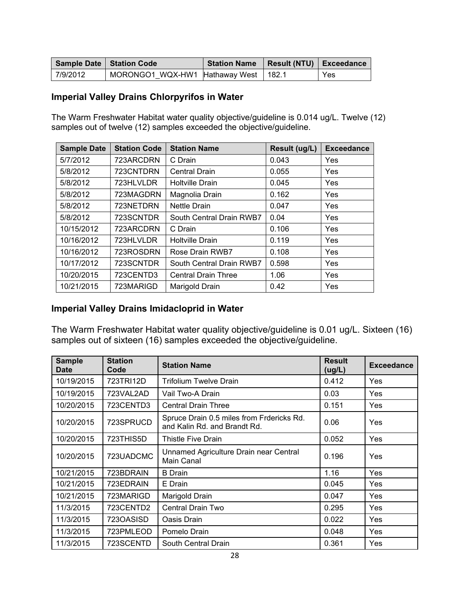|          | Sample Date   Station Code             | Station Name   Result (NTU)   Exceedance |     |
|----------|----------------------------------------|------------------------------------------|-----|
| 7/9/2012 | MORONGO1 WQX-HW1 Hathaway West   182.1 |                                          | Yes |

#### **Imperial Valley Drains Chlorpyrifos in Water**

The Warm Freshwater Habitat water quality objective/guideline is 0.014 ug/L. Twelve (12) samples out of twelve (12) samples exceeded the objective/guideline.

| <b>Sample Date</b> | <b>Station Code</b> | <b>Station Name</b>        | Result (ug/L) | <b>Exceedance</b> |
|--------------------|---------------------|----------------------------|---------------|-------------------|
| 5/7/2012           | 723ARCDRN           | C Drain                    | 0.043         | Yes               |
| 5/8/2012           | 723CNTDRN           | <b>Central Drain</b>       | 0.055         | Yes               |
| 5/8/2012           | 723HLVLDR           | <b>Holtville Drain</b>     | 0.045         | Yes               |
| 5/8/2012           | 723MAGDRN           | Magnolia Drain             | 0.162         | Yes               |
| 5/8/2012           | 723NETDRN           | <b>Nettle Drain</b>        | 0.047         | Yes               |
| 5/8/2012           | 723SCNTDR           | South Central Drain RWB7   | 0.04          | Yes               |
| 10/15/2012         | 723ARCDRN           | C Drain                    | 0.106         | Yes               |
| 10/16/2012         | 723HLVLDR           | <b>Holtville Drain</b>     | 0.119         | Yes               |
| 10/16/2012         | 723ROSDRN           | Rose Drain RWB7            | 0.108         | Yes               |
| 10/17/2012         | 723SCNTDR           | South Central Drain RWB7   | 0.598         | Yes               |
| 10/20/2015         | 723CENTD3           | <b>Central Drain Three</b> | 1.06          | Yes               |
| 10/21/2015         | 723MARIGD           | Marigold Drain             | 0.42          | Yes               |

#### **Imperial Valley Drains Imidacloprid in Water**

The Warm Freshwater Habitat water quality objective/guideline is 0.01 ug/L. Sixteen (16) samples out of sixteen (16) samples exceeded the objective/guideline.

| <b>Sample</b><br><b>Date</b> | <b>Station</b><br>Code | <b>Station Name</b>                                                       | <b>Result</b><br>(ug/L) | <b>Exceedance</b> |
|------------------------------|------------------------|---------------------------------------------------------------------------|-------------------------|-------------------|
| 10/19/2015                   | 723TRI12D              | <b>Trifolium Twelve Drain</b>                                             | 0.412                   | <b>Yes</b>        |
| 10/19/2015                   | 723VAL2AD              | Vail Two-A Drain                                                          | 0.03                    | <b>Yes</b>        |
| 10/20/2015                   | 723CENTD3              | <b>Central Drain Three</b>                                                | 0.151                   | Yes               |
| 10/20/2015                   | 723SPRUCD              | Spruce Drain 0.5 miles from Frdericks Rd.<br>and Kalin Rd. and Brandt Rd. | 0.06                    | Yes               |
| 10/20/2015                   | 723THIS5D              | Thistle Five Drain                                                        | 0.052                   | <b>Yes</b>        |
| 10/20/2015                   | 723UADCMC              | Unnamed Agriculture Drain near Central<br>Main Canal                      | 0.196                   | Yes               |
| 10/21/2015                   | 723BDRAIN              | <b>B</b> Drain                                                            | 1.16                    | Yes               |
| 10/21/2015                   | 723EDRAIN              | E Drain                                                                   | 0.045                   | Yes               |
| 10/21/2015                   | 723MARIGD              | Marigold Drain                                                            | 0.047                   | Yes               |
| 11/3/2015                    | 723CENTD2              | Central Drain Two                                                         | 0.295                   | Yes               |
| 11/3/2015                    | 7230ASISD              | Oasis Drain                                                               | 0.022                   | Yes               |
| 11/3/2015                    | 723PMLEOD              | Pomelo Drain                                                              | 0.048                   | Yes               |
| 11/3/2015                    | 723SCENTD              | South Central Drain                                                       | 0.361                   | Yes               |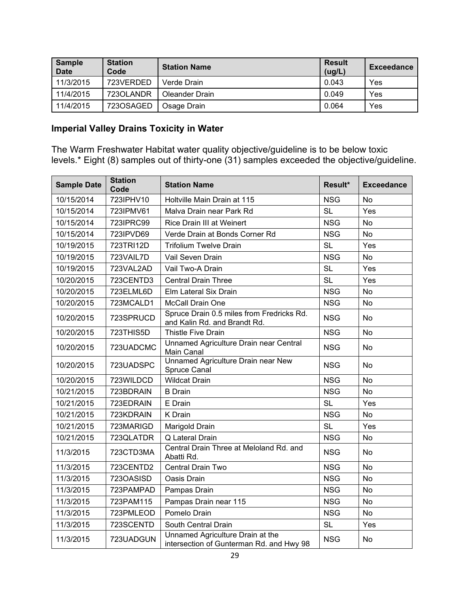| <b>Sample</b><br><b>Date</b> | <b>Station</b><br>Code | <b>Station Name</b> | <b>Result</b><br>(ug/L) | Exceedance |
|------------------------------|------------------------|---------------------|-------------------------|------------|
| 11/3/2015                    | 723VERDED              | Verde Drain         | 0.043                   | Yes        |
| 11/4/2015                    | 7230LANDR              | Oleander Drain      | 0.049                   | Yes        |
| 11/4/2015                    | 7230SAGED              | Osage Drain         | 0.064                   | Yes        |

## **Imperial Valley Drains Toxicity in Water**

The Warm Freshwater Habitat water quality objective/guideline is to be below toxic levels.\* Eight (8) samples out of thirty-one (31) samples exceeded the objective/guideline.

| <b>Sample Date</b> | <b>Station</b><br>Code | <b>Station Name</b>                                                          | Result*    | <b>Exceedance</b> |
|--------------------|------------------------|------------------------------------------------------------------------------|------------|-------------------|
| 10/15/2014         | 723IPHV10              | Holtville Main Drain at 115                                                  | <b>NSG</b> | No                |
| 10/15/2014         | 723IPMV61              | Malva Drain near Park Rd                                                     | <b>SL</b>  | Yes               |
| 10/15/2014         | 723IPRC99              | <b>Rice Drain III at Weinert</b>                                             | <b>NSG</b> | <b>No</b>         |
| 10/15/2014         | 723IPVD69              | Verde Drain at Bonds Corner Rd                                               | <b>NSG</b> | <b>No</b>         |
| 10/19/2015         | 723TRI12D              | <b>Trifolium Twelve Drain</b>                                                | <b>SL</b>  | Yes               |
| 10/19/2015         | 723VAIL7D              | Vail Seven Drain                                                             | <b>NSG</b> | <b>No</b>         |
| 10/19/2015         | 723VAL2AD              | Vail Two-A Drain                                                             | <b>SL</b>  | Yes               |
| 10/20/2015         | 723CENTD3              | <b>Central Drain Three</b>                                                   | <b>SL</b>  | Yes               |
| 10/20/2015         | 723ELML6D              | Elm Lateral Six Drain                                                        | <b>NSG</b> | No                |
| 10/20/2015         | 723MCALD1              | McCall Drain One                                                             | <b>NSG</b> | <b>No</b>         |
| 10/20/2015         | 723SPRUCD              | Spruce Drain 0.5 miles from Fredricks Rd.<br>and Kalin Rd. and Brandt Rd.    | <b>NSG</b> | No                |
| 10/20/2015         | 723THIS5D              | <b>Thistle Five Drain</b>                                                    | <b>NSG</b> | No                |
| 10/20/2015         | 723UADCMC              | Unnamed Agriculture Drain near Central<br>Main Canal                         | <b>NSG</b> | <b>No</b>         |
| 10/20/2015         | 723UADSPC              | Unnamed Agriculture Drain near New<br>Spruce Canal                           | <b>NSG</b> | <b>No</b>         |
| 10/20/2015         | 723WILDCD              | <b>Wildcat Drain</b>                                                         | <b>NSG</b> | <b>No</b>         |
| 10/21/2015         | 723BDRAIN              | <b>B</b> Drain                                                               | <b>NSG</b> | <b>No</b>         |
| 10/21/2015         | 723EDRAIN              | E Drain                                                                      | <b>SL</b>  | Yes               |
| 10/21/2015         | 723KDRAIN              | K Drain                                                                      | <b>NSG</b> | <b>No</b>         |
| 10/21/2015         | 723MARIGD              | Marigold Drain                                                               | <b>SL</b>  | Yes               |
| 10/21/2015         | 723QLATDR              | Q Lateral Drain                                                              | <b>NSG</b> | No                |
| 11/3/2015          | 723CTD3MA              | Central Drain Three at Meloland Rd. and<br>Abatti Rd.                        | <b>NSG</b> | No                |
| 11/3/2015          | 723CENTD2              | Central Drain Two                                                            | <b>NSG</b> | No                |
| 11/3/2015          | 7230ASISD              | Oasis Drain                                                                  | <b>NSG</b> | No                |
| 11/3/2015          | 723PAMPAD              | Pampas Drain                                                                 | <b>NSG</b> | No                |
| 11/3/2015          | 723PAM115              | Pampas Drain near 115                                                        | <b>NSG</b> | <b>No</b>         |
| 11/3/2015          | 723PMLEOD              | Pomelo Drain                                                                 | <b>NSG</b> | No                |
| 11/3/2015          | 723SCENTD              | South Central Drain                                                          | <b>SL</b>  | Yes               |
| 11/3/2015          | 723UADGUN              | Unnamed Agriculture Drain at the<br>intersection of Gunterman Rd. and Hwy 98 | <b>NSG</b> | No                |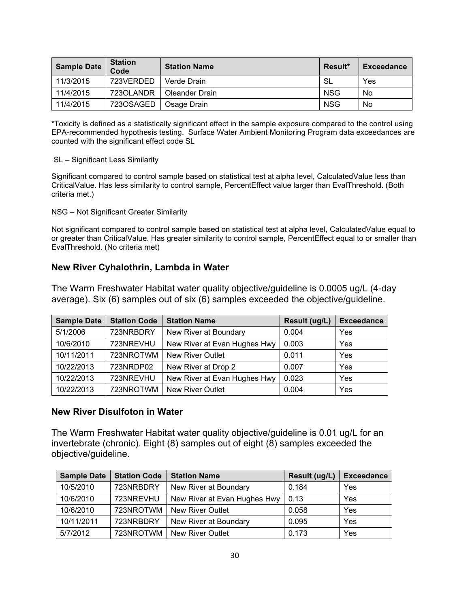| <b>Sample Date</b> | <b>Station</b><br>Code | <b>Station Name</b> | Result*    | Exceedance |
|--------------------|------------------------|---------------------|------------|------------|
| 11/3/2015          | 723VERDED              | Verde Drain         | -SL        | <b>Yes</b> |
| 11/4/2015          | 7230LANDR              | Oleander Drain      | <b>NSG</b> | No         |
| 11/4/2015          | 7230SAGED              | Osage Drain         | <b>NSG</b> | No         |

\*Toxicity is defined as a statistically significant effect in the sample exposure compared to the control using EPA-recommended hypothesis testing. Surface Water Ambient Monitoring Program data exceedances are counted with the significant effect code SL

#### SL – Significant Less Similarity

Significant compared to control sample based on statistical test at alpha level, CalculatedValue less than CriticalValue. Has less similarity to control sample, PercentEffect value larger than EvalThreshold. (Both criteria met.)

NSG – Not Significant Greater Similarity

Not significant compared to control sample based on statistical test at alpha level, CalculatedValue equal to or greater than CriticalValue. Has greater similarity to control sample, PercentEffect equal to or smaller than EvalThreshold. (No criteria met)

#### **New River Cyhalothrin, Lambda in Water**

The Warm Freshwater Habitat water quality objective/guideline is 0.0005 ug/L (4-day average). Six (6) samples out of six (6) samples exceeded the objective/guideline.

| <b>Sample Date</b> | <b>Station Code</b> | <b>Station Name</b>          | Result (ug/L) | <b>Exceedance</b> |
|--------------------|---------------------|------------------------------|---------------|-------------------|
| 5/1/2006           | 723NRBDRY           | New River at Boundary        | 0.004         | Yes               |
| 10/6/2010          | 723NREVHU           | New River at Evan Hughes Hwy | 0.003         | Yes               |
| 10/11/2011         | 723NROTWM           | <b>New River Outlet</b>      | 0.011         | Yes               |
| 10/22/2013         | 723NRDP02           | New River at Drop 2          | 0.007         | Yes               |
| 10/22/2013         | 723NREVHU           | New River at Evan Hughes Hwy | 0.023         | Yes               |
| 10/22/2013         | 723NROTWM           | <b>New River Outlet</b>      | 0.004         | Yes               |

#### **New River Disulfoton in Water**

The Warm Freshwater Habitat water quality objective/guideline is 0.01 ug/L for an invertebrate (chronic). Eight (8) samples out of eight (8) samples exceeded the objective/guideline.

| <b>Sample Date</b> | <b>Station Code</b> | <b>Station Name</b>          | Result (ug/L) | <b>Exceedance</b> |
|--------------------|---------------------|------------------------------|---------------|-------------------|
| 10/5/2010          | 723NRBDRY           | New River at Boundary        | 0.184         | Yes               |
| 10/6/2010          | 723NREVHU           | New River at Evan Hughes Hwy | 0.13          | Yes               |
| 10/6/2010          | 723NROTWM           | <b>New River Outlet</b>      | 0.058         | Yes               |
| 10/11/2011         | 723NRBDRY           | New River at Boundary        | 0.095         | Yes               |
| 5/7/2012           | 723NROTWM           | <b>New River Outlet</b>      | 0.173         | Yes               |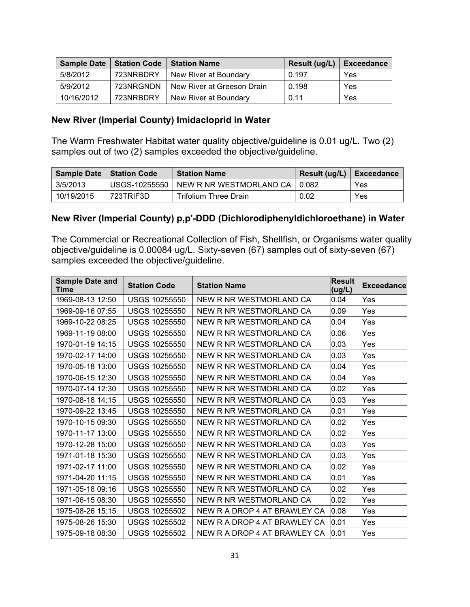| <b>Sample Date</b> | Station Code | <b>Station Name</b>        | Result (ug/L) | Exceedance |
|--------------------|--------------|----------------------------|---------------|------------|
| 5/8/2012           | 723NRBDRY    | New River at Boundary      | 0.197         | Yes        |
| 5/9/2012           | 723NRGNDN    | New River at Greeson Drain | 0.198         | Yes        |
| 10/16/2012         | 723NRBDRY    | New River at Boundary      | 0.11          | Yes        |

#### **New River (Imperial County) Imidacloprid in Water**

The Warm Freshwater Habitat water quality objective/guideline is 0.01 ug/L. Two (2) samples out of two (2) samples exceeded the objective/guideline.

|            | Sample Date   Station Code | <b>Station Name</b>                             | Result (ug/L) $\vert$ Exceedance |            |
|------------|----------------------------|-------------------------------------------------|----------------------------------|------------|
| 3/5/2013   |                            | USGS-10255550   NEW R NR WESTMORLAND CA   0.082 |                                  | <b>Yes</b> |
| 10/19/2015 | 723TRIF3D                  | Trifolium Three Drain                           | 0.02                             | <b>Yes</b> |

#### **New River (Imperial County) p,p'-DDD (Dichlorodiphenyldichloroethane) in Water**

The Commercial or Recreational Collection of Fish, Shellfish, or Organisms water quality objective/guideline is 0.00084 ug/L. Sixty-seven (67) samples out of sixty-seven (67) samples exceeded the objective/guideline.

| <b>Sample Date and</b><br>Time | <b>Station Code</b>  | <b>Station Name</b>          | <b>Result</b><br>(ug/L) | <b>Exceedance</b> |
|--------------------------------|----------------------|------------------------------|-------------------------|-------------------|
| 1969-08-13 12:50               | <b>USGS 10255550</b> | NEW R NR WESTMORLAND CA      | 0.04                    | Yes               |
| 1969-09-16 07:55               | <b>USGS 10255550</b> | NEW R NR WESTMORLAND CA      | 0.09                    | Yes               |
| 1969-10-22 08:25               | <b>USGS 10255550</b> | NEW R NR WESTMORLAND CA      | 0.04                    | Yes               |
| 1969-11-19 08:00               | <b>USGS 10255550</b> | NEW R NR WESTMORLAND CA      | 0.06                    | Yes               |
| 1970-01-19 14:15               | <b>USGS 10255550</b> | NEW R NR WESTMORLAND CA      | 0.03                    | Yes               |
| 1970-02-17 14:00               | <b>USGS 10255550</b> | NEW R NR WESTMORLAND CA      | 0.03                    | Yes               |
| 1970-05-18 13:00               | <b>USGS 10255550</b> | NEW R NR WESTMORLAND CA      | 0.04                    | Yes               |
| 1970-06-15 12:30               | <b>USGS 10255550</b> | NEW R NR WESTMORLAND CA      | 0.04                    | Yes               |
| 1970-07-14 12:30               | <b>USGS 10255550</b> | NEW R NR WESTMORLAND CA      | 0.02                    | Yes               |
| 1970-08-18 14:15               | <b>USGS 10255550</b> | NEW R NR WESTMORLAND CA      | 0.03                    | Yes               |
| 1970-09-22 13:45               | <b>USGS 10255550</b> | NEW R NR WESTMORLAND CA      | 0.01                    | Yes               |
| 1970-10-15 09:30               | <b>USGS 10255550</b> | NEW R NR WESTMORLAND CA      | 0.02                    | Yes               |
| 1970-11-17 13:00               | <b>USGS 10255550</b> | NEW R NR WESTMORLAND CA      | 0.02                    | Yes               |
| 1970-12-28 15:00               | <b>USGS 10255550</b> | NEW R NR WESTMORLAND CA      | 0.03                    | Yes               |
| 1971-01-18 15:30               | <b>USGS 10255550</b> | NEW R NR WESTMORLAND CA      | 0.03                    | Yes               |
| 1971-02-17 11:00               | <b>USGS 10255550</b> | NEW R NR WESTMORLAND CA      | 0.02                    | Yes               |
| 1971-04-20 11:15               | <b>USGS 10255550</b> | NEW R NR WESTMORLAND CA      | 0.01                    | Yes               |
| 1971-05-18 09:16               | <b>USGS 10255550</b> | NEW R NR WESTMORLAND CA      | 0.02                    | Yes               |
| 1971-06-15 08:30               | <b>USGS 10255550</b> | NEW R NR WESTMORLAND CA      | 0.02                    | Yes               |
| 1975-08-26 15:15               | <b>USGS 10255502</b> | NEW R A DROP 4 AT BRAWLEY CA | 0.08                    | Yes               |
| 1975-08-26 15:30               | <b>USGS 10255502</b> | NEW R A DROP 4 AT BRAWLEY CA | 0.01                    | Yes               |
| 1975-09-18 08:30               | <b>USGS 10255502</b> | NEW R A DROP 4 AT BRAWLEY CA | 0.01                    | Yes               |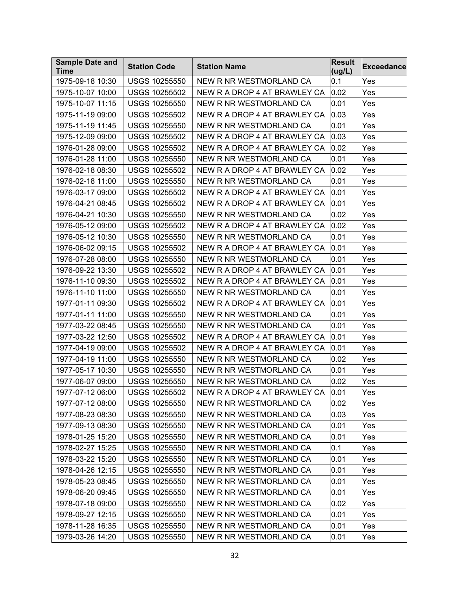| Time<br>(ug/L)<br>1975-09-18 10:30<br><b>USGS 10255550</b><br>NEW R NR WESTMORLAND CA<br>Yes<br>0.1<br><b>USGS 10255502</b><br>NEW R A DROP 4 AT BRAWLEY CA<br>0.02<br>Yes<br>1975-10-07 10:00<br>0.01<br>1975-10-07 11:15<br><b>USGS 10255550</b><br>NEW R NR WESTMORLAND CA<br>Yes<br>1975-11-19 09:00<br><b>USGS 10255502</b><br>NEW R A DROP 4 AT BRAWLEY CA<br>0.03<br>Yes<br>0.01<br>1975-11-19 11:45<br><b>USGS 10255550</b><br>NEW R NR WESTMORLAND CA<br>Yes<br>1975-12-09 09:00<br><b>USGS 10255502</b><br>NEW R A DROP 4 AT BRAWLEY CA<br>0.03<br>Yes<br><b>USGS 10255502</b><br>0.02<br>1976-01-28 09:00<br>NEW R A DROP 4 AT BRAWLEY CA<br>Yes<br>1976-01-28 11:00<br><b>USGS 10255550</b><br>NEW R NR WESTMORLAND CA<br>0.01<br>Yes<br><b>USGS 10255502</b><br>NEW R A DROP 4 AT BRAWLEY CA<br>0.02<br>1976-02-18 08:30<br>Yes<br>1976-02-18 11:00<br><b>USGS 10255550</b><br>NEW R NR WESTMORLAND CA<br>0.01<br>Yes<br>1976-03-17 09:00<br><b>USGS 10255502</b><br>NEW R A DROP 4 AT BRAWLEY CA<br>0.01<br>Yes<br>1976-04-21 08:45<br><b>USGS 10255502</b><br>NEW R A DROP 4 AT BRAWLEY CA<br>0.01<br>Yes<br>1976-04-21 10:30<br><b>USGS 10255550</b><br>NEW R NR WESTMORLAND CA<br>0.02<br>Yes<br>0.02<br>1976-05-12 09:00<br><b>USGS 10255502</b><br>NEW R A DROP 4 AT BRAWLEY CA<br>Yes<br>0.01<br>1976-05-12 10:30<br><b>USGS 10255550</b><br>NEW R NR WESTMORLAND CA<br>Yes<br>1976-06-02 09:15<br><b>USGS 10255502</b><br>NEW R A DROP 4 AT BRAWLEY CA<br>0.01<br>Yes<br><b>USGS 10255550</b><br>NEW R NR WESTMORLAND CA<br>0.01<br>Yes<br>1976-07-28 08:00<br>1976-09-22 13:30<br><b>USGS 10255502</b><br>NEW R A DROP 4 AT BRAWLEY CA<br>0.01<br>Yes<br>1976-11-10 09:30<br><b>USGS 10255502</b><br>0.01<br>NEW R A DROP 4 AT BRAWLEY CA<br>Yes<br>1976-11-10 11:00<br><b>USGS 10255550</b><br>NEW R NR WESTMORLAND CA<br>0.01<br>Yes<br><b>USGS 10255502</b><br>0.01<br>1977-01-11 09:30<br>NEW R A DROP 4 AT BRAWLEY CA<br>Yes<br>0.01<br><b>USGS 10255550</b><br>NEW R NR WESTMORLAND CA<br>1977-01-11 11:00<br>Yes<br>1977-03-22 08:45<br><b>USGS 10255550</b><br>NEW R NR WESTMORLAND CA<br>0.01<br>Yes<br>0.01<br>1977-03-22 12:50<br><b>USGS 10255502</b><br>NEW R A DROP 4 AT BRAWLEY CA<br>Yes<br>1977-04-19 09:00<br><b>USGS 10255502</b><br>NEW R A DROP 4 AT BRAWLEY CA<br>0.01<br>Yes<br><b>USGS 10255550</b><br>NEW R NR WESTMORLAND CA<br>0.02<br>1977-04-19 11:00<br>Yes<br>0.01<br>1977-05-17 10:30<br><b>USGS 10255550</b><br>NEW R NR WESTMORLAND CA<br>Yes |
|-------------------------------------------------------------------------------------------------------------------------------------------------------------------------------------------------------------------------------------------------------------------------------------------------------------------------------------------------------------------------------------------------------------------------------------------------------------------------------------------------------------------------------------------------------------------------------------------------------------------------------------------------------------------------------------------------------------------------------------------------------------------------------------------------------------------------------------------------------------------------------------------------------------------------------------------------------------------------------------------------------------------------------------------------------------------------------------------------------------------------------------------------------------------------------------------------------------------------------------------------------------------------------------------------------------------------------------------------------------------------------------------------------------------------------------------------------------------------------------------------------------------------------------------------------------------------------------------------------------------------------------------------------------------------------------------------------------------------------------------------------------------------------------------------------------------------------------------------------------------------------------------------------------------------------------------------------------------------------------------------------------------------------------------------------------------------------------------------------------------------------------------------------------------------------------------------------------------------------------------------------------------------------------------------------------------------------------------------------------------------------------------------------------------------------------------------------------------------------------------------------|
|                                                                                                                                                                                                                                                                                                                                                                                                                                                                                                                                                                                                                                                                                                                                                                                                                                                                                                                                                                                                                                                                                                                                                                                                                                                                                                                                                                                                                                                                                                                                                                                                                                                                                                                                                                                                                                                                                                                                                                                                                                                                                                                                                                                                                                                                                                                                                                                                                                                                                                       |
|                                                                                                                                                                                                                                                                                                                                                                                                                                                                                                                                                                                                                                                                                                                                                                                                                                                                                                                                                                                                                                                                                                                                                                                                                                                                                                                                                                                                                                                                                                                                                                                                                                                                                                                                                                                                                                                                                                                                                                                                                                                                                                                                                                                                                                                                                                                                                                                                                                                                                                       |
|                                                                                                                                                                                                                                                                                                                                                                                                                                                                                                                                                                                                                                                                                                                                                                                                                                                                                                                                                                                                                                                                                                                                                                                                                                                                                                                                                                                                                                                                                                                                                                                                                                                                                                                                                                                                                                                                                                                                                                                                                                                                                                                                                                                                                                                                                                                                                                                                                                                                                                       |
|                                                                                                                                                                                                                                                                                                                                                                                                                                                                                                                                                                                                                                                                                                                                                                                                                                                                                                                                                                                                                                                                                                                                                                                                                                                                                                                                                                                                                                                                                                                                                                                                                                                                                                                                                                                                                                                                                                                                                                                                                                                                                                                                                                                                                                                                                                                                                                                                                                                                                                       |
|                                                                                                                                                                                                                                                                                                                                                                                                                                                                                                                                                                                                                                                                                                                                                                                                                                                                                                                                                                                                                                                                                                                                                                                                                                                                                                                                                                                                                                                                                                                                                                                                                                                                                                                                                                                                                                                                                                                                                                                                                                                                                                                                                                                                                                                                                                                                                                                                                                                                                                       |
|                                                                                                                                                                                                                                                                                                                                                                                                                                                                                                                                                                                                                                                                                                                                                                                                                                                                                                                                                                                                                                                                                                                                                                                                                                                                                                                                                                                                                                                                                                                                                                                                                                                                                                                                                                                                                                                                                                                                                                                                                                                                                                                                                                                                                                                                                                                                                                                                                                                                                                       |
|                                                                                                                                                                                                                                                                                                                                                                                                                                                                                                                                                                                                                                                                                                                                                                                                                                                                                                                                                                                                                                                                                                                                                                                                                                                                                                                                                                                                                                                                                                                                                                                                                                                                                                                                                                                                                                                                                                                                                                                                                                                                                                                                                                                                                                                                                                                                                                                                                                                                                                       |
|                                                                                                                                                                                                                                                                                                                                                                                                                                                                                                                                                                                                                                                                                                                                                                                                                                                                                                                                                                                                                                                                                                                                                                                                                                                                                                                                                                                                                                                                                                                                                                                                                                                                                                                                                                                                                                                                                                                                                                                                                                                                                                                                                                                                                                                                                                                                                                                                                                                                                                       |
|                                                                                                                                                                                                                                                                                                                                                                                                                                                                                                                                                                                                                                                                                                                                                                                                                                                                                                                                                                                                                                                                                                                                                                                                                                                                                                                                                                                                                                                                                                                                                                                                                                                                                                                                                                                                                                                                                                                                                                                                                                                                                                                                                                                                                                                                                                                                                                                                                                                                                                       |
|                                                                                                                                                                                                                                                                                                                                                                                                                                                                                                                                                                                                                                                                                                                                                                                                                                                                                                                                                                                                                                                                                                                                                                                                                                                                                                                                                                                                                                                                                                                                                                                                                                                                                                                                                                                                                                                                                                                                                                                                                                                                                                                                                                                                                                                                                                                                                                                                                                                                                                       |
|                                                                                                                                                                                                                                                                                                                                                                                                                                                                                                                                                                                                                                                                                                                                                                                                                                                                                                                                                                                                                                                                                                                                                                                                                                                                                                                                                                                                                                                                                                                                                                                                                                                                                                                                                                                                                                                                                                                                                                                                                                                                                                                                                                                                                                                                                                                                                                                                                                                                                                       |
|                                                                                                                                                                                                                                                                                                                                                                                                                                                                                                                                                                                                                                                                                                                                                                                                                                                                                                                                                                                                                                                                                                                                                                                                                                                                                                                                                                                                                                                                                                                                                                                                                                                                                                                                                                                                                                                                                                                                                                                                                                                                                                                                                                                                                                                                                                                                                                                                                                                                                                       |
|                                                                                                                                                                                                                                                                                                                                                                                                                                                                                                                                                                                                                                                                                                                                                                                                                                                                                                                                                                                                                                                                                                                                                                                                                                                                                                                                                                                                                                                                                                                                                                                                                                                                                                                                                                                                                                                                                                                                                                                                                                                                                                                                                                                                                                                                                                                                                                                                                                                                                                       |
|                                                                                                                                                                                                                                                                                                                                                                                                                                                                                                                                                                                                                                                                                                                                                                                                                                                                                                                                                                                                                                                                                                                                                                                                                                                                                                                                                                                                                                                                                                                                                                                                                                                                                                                                                                                                                                                                                                                                                                                                                                                                                                                                                                                                                                                                                                                                                                                                                                                                                                       |
|                                                                                                                                                                                                                                                                                                                                                                                                                                                                                                                                                                                                                                                                                                                                                                                                                                                                                                                                                                                                                                                                                                                                                                                                                                                                                                                                                                                                                                                                                                                                                                                                                                                                                                                                                                                                                                                                                                                                                                                                                                                                                                                                                                                                                                                                                                                                                                                                                                                                                                       |
|                                                                                                                                                                                                                                                                                                                                                                                                                                                                                                                                                                                                                                                                                                                                                                                                                                                                                                                                                                                                                                                                                                                                                                                                                                                                                                                                                                                                                                                                                                                                                                                                                                                                                                                                                                                                                                                                                                                                                                                                                                                                                                                                                                                                                                                                                                                                                                                                                                                                                                       |
|                                                                                                                                                                                                                                                                                                                                                                                                                                                                                                                                                                                                                                                                                                                                                                                                                                                                                                                                                                                                                                                                                                                                                                                                                                                                                                                                                                                                                                                                                                                                                                                                                                                                                                                                                                                                                                                                                                                                                                                                                                                                                                                                                                                                                                                                                                                                                                                                                                                                                                       |
|                                                                                                                                                                                                                                                                                                                                                                                                                                                                                                                                                                                                                                                                                                                                                                                                                                                                                                                                                                                                                                                                                                                                                                                                                                                                                                                                                                                                                                                                                                                                                                                                                                                                                                                                                                                                                                                                                                                                                                                                                                                                                                                                                                                                                                                                                                                                                                                                                                                                                                       |
|                                                                                                                                                                                                                                                                                                                                                                                                                                                                                                                                                                                                                                                                                                                                                                                                                                                                                                                                                                                                                                                                                                                                                                                                                                                                                                                                                                                                                                                                                                                                                                                                                                                                                                                                                                                                                                                                                                                                                                                                                                                                                                                                                                                                                                                                                                                                                                                                                                                                                                       |
|                                                                                                                                                                                                                                                                                                                                                                                                                                                                                                                                                                                                                                                                                                                                                                                                                                                                                                                                                                                                                                                                                                                                                                                                                                                                                                                                                                                                                                                                                                                                                                                                                                                                                                                                                                                                                                                                                                                                                                                                                                                                                                                                                                                                                                                                                                                                                                                                                                                                                                       |
|                                                                                                                                                                                                                                                                                                                                                                                                                                                                                                                                                                                                                                                                                                                                                                                                                                                                                                                                                                                                                                                                                                                                                                                                                                                                                                                                                                                                                                                                                                                                                                                                                                                                                                                                                                                                                                                                                                                                                                                                                                                                                                                                                                                                                                                                                                                                                                                                                                                                                                       |
|                                                                                                                                                                                                                                                                                                                                                                                                                                                                                                                                                                                                                                                                                                                                                                                                                                                                                                                                                                                                                                                                                                                                                                                                                                                                                                                                                                                                                                                                                                                                                                                                                                                                                                                                                                                                                                                                                                                                                                                                                                                                                                                                                                                                                                                                                                                                                                                                                                                                                                       |
|                                                                                                                                                                                                                                                                                                                                                                                                                                                                                                                                                                                                                                                                                                                                                                                                                                                                                                                                                                                                                                                                                                                                                                                                                                                                                                                                                                                                                                                                                                                                                                                                                                                                                                                                                                                                                                                                                                                                                                                                                                                                                                                                                                                                                                                                                                                                                                                                                                                                                                       |
|                                                                                                                                                                                                                                                                                                                                                                                                                                                                                                                                                                                                                                                                                                                                                                                                                                                                                                                                                                                                                                                                                                                                                                                                                                                                                                                                                                                                                                                                                                                                                                                                                                                                                                                                                                                                                                                                                                                                                                                                                                                                                                                                                                                                                                                                                                                                                                                                                                                                                                       |
|                                                                                                                                                                                                                                                                                                                                                                                                                                                                                                                                                                                                                                                                                                                                                                                                                                                                                                                                                                                                                                                                                                                                                                                                                                                                                                                                                                                                                                                                                                                                                                                                                                                                                                                                                                                                                                                                                                                                                                                                                                                                                                                                                                                                                                                                                                                                                                                                                                                                                                       |
|                                                                                                                                                                                                                                                                                                                                                                                                                                                                                                                                                                                                                                                                                                                                                                                                                                                                                                                                                                                                                                                                                                                                                                                                                                                                                                                                                                                                                                                                                                                                                                                                                                                                                                                                                                                                                                                                                                                                                                                                                                                                                                                                                                                                                                                                                                                                                                                                                                                                                                       |
|                                                                                                                                                                                                                                                                                                                                                                                                                                                                                                                                                                                                                                                                                                                                                                                                                                                                                                                                                                                                                                                                                                                                                                                                                                                                                                                                                                                                                                                                                                                                                                                                                                                                                                                                                                                                                                                                                                                                                                                                                                                                                                                                                                                                                                                                                                                                                                                                                                                                                                       |
|                                                                                                                                                                                                                                                                                                                                                                                                                                                                                                                                                                                                                                                                                                                                                                                                                                                                                                                                                                                                                                                                                                                                                                                                                                                                                                                                                                                                                                                                                                                                                                                                                                                                                                                                                                                                                                                                                                                                                                                                                                                                                                                                                                                                                                                                                                                                                                                                                                                                                                       |
| 1977-06-07 09:00<br><b>USGS 10255550</b><br>NEW R NR WESTMORLAND CA<br>0.02<br>Yes                                                                                                                                                                                                                                                                                                                                                                                                                                                                                                                                                                                                                                                                                                                                                                                                                                                                                                                                                                                                                                                                                                                                                                                                                                                                                                                                                                                                                                                                                                                                                                                                                                                                                                                                                                                                                                                                                                                                                                                                                                                                                                                                                                                                                                                                                                                                                                                                                    |
| 0.01<br>1977-07-12 06:00<br><b>USGS 10255502</b><br>NEW R A DROP 4 AT BRAWLEY CA<br>Yes                                                                                                                                                                                                                                                                                                                                                                                                                                                                                                                                                                                                                                                                                                                                                                                                                                                                                                                                                                                                                                                                                                                                                                                                                                                                                                                                                                                                                                                                                                                                                                                                                                                                                                                                                                                                                                                                                                                                                                                                                                                                                                                                                                                                                                                                                                                                                                                                               |
| 1977-07-12 08:00<br>USGS 10255550<br>NEW R NR WESTMORLAND CA<br>0.02<br>Yes                                                                                                                                                                                                                                                                                                                                                                                                                                                                                                                                                                                                                                                                                                                                                                                                                                                                                                                                                                                                                                                                                                                                                                                                                                                                                                                                                                                                                                                                                                                                                                                                                                                                                                                                                                                                                                                                                                                                                                                                                                                                                                                                                                                                                                                                                                                                                                                                                           |
| NEW R NR WESTMORLAND CA<br>0.03<br>1977-08-23 08:30<br><b>USGS 10255550</b><br>Yes                                                                                                                                                                                                                                                                                                                                                                                                                                                                                                                                                                                                                                                                                                                                                                                                                                                                                                                                                                                                                                                                                                                                                                                                                                                                                                                                                                                                                                                                                                                                                                                                                                                                                                                                                                                                                                                                                                                                                                                                                                                                                                                                                                                                                                                                                                                                                                                                                    |
| NEW R NR WESTMORLAND CA<br>1977-09-13 08:30<br><b>USGS 10255550</b><br>0.01<br>Yes                                                                                                                                                                                                                                                                                                                                                                                                                                                                                                                                                                                                                                                                                                                                                                                                                                                                                                                                                                                                                                                                                                                                                                                                                                                                                                                                                                                                                                                                                                                                                                                                                                                                                                                                                                                                                                                                                                                                                                                                                                                                                                                                                                                                                                                                                                                                                                                                                    |
| 1978-01-25 15:20<br><b>USGS 10255550</b><br>NEW R NR WESTMORLAND CA<br>0.01<br>Yes                                                                                                                                                                                                                                                                                                                                                                                                                                                                                                                                                                                                                                                                                                                                                                                                                                                                                                                                                                                                                                                                                                                                                                                                                                                                                                                                                                                                                                                                                                                                                                                                                                                                                                                                                                                                                                                                                                                                                                                                                                                                                                                                                                                                                                                                                                                                                                                                                    |
| 0.1<br>NEW R NR WESTMORLAND CA<br>1978-02-27 15:25<br><b>USGS 10255550</b><br>Yes                                                                                                                                                                                                                                                                                                                                                                                                                                                                                                                                                                                                                                                                                                                                                                                                                                                                                                                                                                                                                                                                                                                                                                                                                                                                                                                                                                                                                                                                                                                                                                                                                                                                                                                                                                                                                                                                                                                                                                                                                                                                                                                                                                                                                                                                                                                                                                                                                     |
| 1978-03-22 15:20<br><b>USGS 10255550</b><br>NEW R NR WESTMORLAND CA<br>0.01<br>Yes                                                                                                                                                                                                                                                                                                                                                                                                                                                                                                                                                                                                                                                                                                                                                                                                                                                                                                                                                                                                                                                                                                                                                                                                                                                                                                                                                                                                                                                                                                                                                                                                                                                                                                                                                                                                                                                                                                                                                                                                                                                                                                                                                                                                                                                                                                                                                                                                                    |
| 1978-04-26 12:15<br><b>USGS 10255550</b><br>NEW R NR WESTMORLAND CA<br>0.01<br>Yes                                                                                                                                                                                                                                                                                                                                                                                                                                                                                                                                                                                                                                                                                                                                                                                                                                                                                                                                                                                                                                                                                                                                                                                                                                                                                                                                                                                                                                                                                                                                                                                                                                                                                                                                                                                                                                                                                                                                                                                                                                                                                                                                                                                                                                                                                                                                                                                                                    |
| 1978-05-23 08:45<br><b>USGS 10255550</b><br>NEW R NR WESTMORLAND CA<br>0.01<br>Yes                                                                                                                                                                                                                                                                                                                                                                                                                                                                                                                                                                                                                                                                                                                                                                                                                                                                                                                                                                                                                                                                                                                                                                                                                                                                                                                                                                                                                                                                                                                                                                                                                                                                                                                                                                                                                                                                                                                                                                                                                                                                                                                                                                                                                                                                                                                                                                                                                    |
| 1978-06-20 09:45<br><b>USGS 10255550</b><br>NEW R NR WESTMORLAND CA<br>0.01<br>Yes                                                                                                                                                                                                                                                                                                                                                                                                                                                                                                                                                                                                                                                                                                                                                                                                                                                                                                                                                                                                                                                                                                                                                                                                                                                                                                                                                                                                                                                                                                                                                                                                                                                                                                                                                                                                                                                                                                                                                                                                                                                                                                                                                                                                                                                                                                                                                                                                                    |
| 1978-07-18 09:00<br><b>USGS 10255550</b><br>NEW R NR WESTMORLAND CA<br>0.02<br>Yes                                                                                                                                                                                                                                                                                                                                                                                                                                                                                                                                                                                                                                                                                                                                                                                                                                                                                                                                                                                                                                                                                                                                                                                                                                                                                                                                                                                                                                                                                                                                                                                                                                                                                                                                                                                                                                                                                                                                                                                                                                                                                                                                                                                                                                                                                                                                                                                                                    |
| <b>USGS 10255550</b><br>NEW R NR WESTMORLAND CA<br>1978-09-27 12:15<br>0.01<br>Yes                                                                                                                                                                                                                                                                                                                                                                                                                                                                                                                                                                                                                                                                                                                                                                                                                                                                                                                                                                                                                                                                                                                                                                                                                                                                                                                                                                                                                                                                                                                                                                                                                                                                                                                                                                                                                                                                                                                                                                                                                                                                                                                                                                                                                                                                                                                                                                                                                    |
| 1978-11-28 16:35<br><b>USGS 10255550</b><br>NEW R NR WESTMORLAND CA<br>0.01<br>Yes                                                                                                                                                                                                                                                                                                                                                                                                                                                                                                                                                                                                                                                                                                                                                                                                                                                                                                                                                                                                                                                                                                                                                                                                                                                                                                                                                                                                                                                                                                                                                                                                                                                                                                                                                                                                                                                                                                                                                                                                                                                                                                                                                                                                                                                                                                                                                                                                                    |
| <b>USGS 10255550</b><br>NEW R NR WESTMORLAND CA<br>1979-03-26 14:20<br>0.01<br>Yes                                                                                                                                                                                                                                                                                                                                                                                                                                                                                                                                                                                                                                                                                                                                                                                                                                                                                                                                                                                                                                                                                                                                                                                                                                                                                                                                                                                                                                                                                                                                                                                                                                                                                                                                                                                                                                                                                                                                                                                                                                                                                                                                                                                                                                                                                                                                                                                                                    |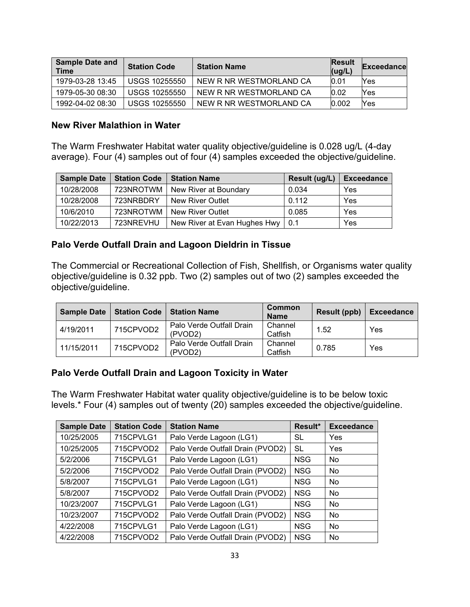| <b>Sample Date and</b><br><b>Time</b> | <b>Station Code</b>  | <b>Station Name</b>     | <b>Result</b><br>(ug/L) | Exceedance |
|---------------------------------------|----------------------|-------------------------|-------------------------|------------|
| 1979-03-28 13:45                      | USGS 10255550        | NEW R NR WESTMORLAND CA | 0.01                    | Yes        |
| 1979-05-30 08:30                      | USGS 10255550        | NEW R NR WESTMORLAND CA | 0.02                    | Yes        |
| 1992-04-02 08:30                      | <b>USGS 10255550</b> | NEW R NR WESTMORLAND CA | 0.002                   | Yes        |

#### **New River Malathion in Water**

The Warm Freshwater Habitat water quality objective/guideline is 0.028 ug/L (4-day average). Four (4) samples out of four (4) samples exceeded the objective/guideline.

| <b>Sample Date</b> | <b>Station Code</b> | <b>Station Name</b>          | Result (ug/L) | <b>Exceedance</b> |
|--------------------|---------------------|------------------------------|---------------|-------------------|
| 10/28/2008         | 723NROTWM           | New River at Boundary        | 0.034         | Yes               |
| 10/28/2008         | 723NRBDRY           | <b>New River Outlet</b>      | 0.112         | Yes               |
| 10/6/2010          | 723NROTWM           | New River Outlet             | 0.085         | Yes               |
| 10/22/2013         | 723NREVHU           | New River at Evan Hughes Hwy | l 0.1         | Yes               |

#### **Palo Verde Outfall Drain and Lagoon Dieldrin in Tissue**

The Commercial or Recreational Collection of Fish, Shellfish, or Organisms water quality objective/guideline is 0.32 ppb. Two (2) samples out of two (2) samples exceeded the objective/guideline.

| <b>Sample Date</b> |           | <b>Station Code   Station Name</b>               | Common<br><b>Name</b> | Result (ppb) | <b>Exceedance</b> |
|--------------------|-----------|--------------------------------------------------|-----------------------|--------------|-------------------|
| 4/19/2011          | 715CPVOD2 | Palo Verde Outfall Drain<br>(PVOD <sub>2</sub> ) | Channel<br>Catfish    | 1.52         | Yes               |
| 11/15/2011         | 715CPVOD2 | Palo Verde Outfall Drain<br>(PVOD2)              | Channel<br>Catfish    | 0.785        | Yes               |

#### **Palo Verde Outfall Drain and Lagoon Toxicity in Water**

The Warm Freshwater Habitat water quality objective/guideline is to be below toxic levels.\* Four (4) samples out of twenty (20) samples exceeded the objective/guideline.

| <b>Sample Date</b> | <b>Station Code</b> | <b>Station Name</b>              | Result*    | <b>Exceedance</b> |
|--------------------|---------------------|----------------------------------|------------|-------------------|
| 10/25/2005         | 715CPVLG1           | Palo Verde Lagoon (LG1)          | SL         | <b>Yes</b>        |
| 10/25/2005         | 715CPVOD2           | Palo Verde Outfall Drain (PVOD2) | SL         | Yes               |
| 5/2/2006           | 715CPVLG1           | Palo Verde Lagoon (LG1)          | <b>NSG</b> | <b>No</b>         |
| 5/2/2006           | 715CPVOD2           | Palo Verde Outfall Drain (PVOD2) | <b>NSG</b> | <b>No</b>         |
| 5/8/2007           | 715CPVLG1           | Palo Verde Lagoon (LG1)          | <b>NSG</b> | <b>No</b>         |
| 5/8/2007           | 715CPVOD2           | Palo Verde Outfall Drain (PVOD2) | <b>NSG</b> | <b>No</b>         |
| 10/23/2007         | 715CPVLG1           | Palo Verde Lagoon (LG1)          | <b>NSG</b> | <b>No</b>         |
| 10/23/2007         | 715CPVOD2           | Palo Verde Outfall Drain (PVOD2) | <b>NSG</b> | <b>No</b>         |
| 4/22/2008          | 715CPVLG1           | Palo Verde Lagoon (LG1)          | <b>NSG</b> | <b>No</b>         |
| 4/22/2008          | 715CPVOD2           | Palo Verde Outfall Drain (PVOD2) | <b>NSG</b> | <b>No</b>         |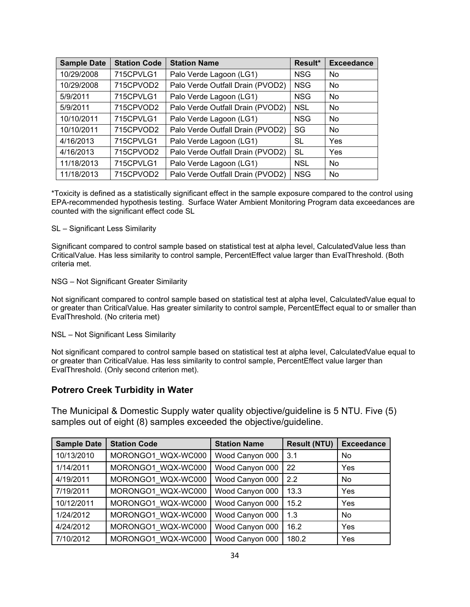| <b>Sample Date</b> | <b>Station Code</b> | <b>Station Name</b>              | Result*    | <b>Exceedance</b> |
|--------------------|---------------------|----------------------------------|------------|-------------------|
| 10/29/2008         | 715CPVLG1           | Palo Verde Lagoon (LG1)          | <b>NSG</b> | <b>No</b>         |
| 10/29/2008         | 715CPVOD2           | Palo Verde Outfall Drain (PVOD2) | <b>NSG</b> | <b>No</b>         |
| 5/9/2011           | 715CPVLG1           | Palo Verde Lagoon (LG1)          | <b>NSG</b> | No                |
| 5/9/2011           | 715CPVOD2           | Palo Verde Outfall Drain (PVOD2) | <b>NSL</b> | <b>No</b>         |
| 10/10/2011         | 715CPVLG1           | Palo Verde Lagoon (LG1)          | <b>NSG</b> | <b>No</b>         |
| 10/10/2011         | 715CPVOD2           | Palo Verde Outfall Drain (PVOD2) | SG         | <b>No</b>         |
| 4/16/2013          | 715CPVLG1           | Palo Verde Lagoon (LG1)          | <b>SL</b>  | <b>Yes</b>        |
| 4/16/2013          | 715CPVOD2           | Palo Verde Outfall Drain (PVOD2) | <b>SL</b>  | <b>Yes</b>        |
| 11/18/2013         | 715CPVLG1           | Palo Verde Lagoon (LG1)          | <b>NSL</b> | <b>No</b>         |
| 11/18/2013         | 715CPVOD2           | Palo Verde Outfall Drain (PVOD2) | <b>NSG</b> | <b>No</b>         |

\*Toxicity is defined as a statistically significant effect in the sample exposure compared to the control using EPA-recommended hypothesis testing. Surface Water Ambient Monitoring Program data exceedances are counted with the significant effect code SL

SL – Significant Less Similarity

Significant compared to control sample based on statistical test at alpha level, CalculatedValue less than CriticalValue. Has less similarity to control sample, PercentEffect value larger than EvalThreshold. (Both criteria met.

NSG – Not Significant Greater Similarity

Not significant compared to control sample based on statistical test at alpha level, CalculatedValue equal to or greater than CriticalValue. Has greater similarity to control sample, PercentEffect equal to or smaller than EvalThreshold. (No criteria met)

NSL – Not Significant Less Similarity

Not significant compared to control sample based on statistical test at alpha level, CalculatedValue equal to or greater than CriticalValue. Has less similarity to control sample, PercentEffect value larger than EvalThreshold. (Only second criterion met).

#### **Potrero Creek Turbidity in Water**

The Municipal & Domestic Supply water quality objective/guideline is 5 NTU. Five (5) samples out of eight (8) samples exceeded the objective/guideline.

| <b>Sample Date</b> | <b>Station Code</b> | <b>Station Name</b> | <b>Result (NTU)</b> | <b>Exceedance</b> |
|--------------------|---------------------|---------------------|---------------------|-------------------|
| 10/13/2010         | MORONGO1 WQX-WC000  | Wood Canyon 000     | 3.1                 | <b>No</b>         |
| 1/14/2011          | MORONGO1 WQX-WC000  | Wood Canyon 000     | 22                  | Yes               |
| 4/19/2011          | MORONGO1 WQX-WC000  | Wood Canyon 000     | 2.2                 | <b>No</b>         |
| 7/19/2011          | MORONGO1 WQX-WC000  | Wood Canyon 000     | 13.3                | Yes               |
| 10/12/2011         | MORONGO1 WQX-WC000  | Wood Canyon 000     | 15.2                | Yes               |
| 1/24/2012          | MORONGO1 WQX-WC000  | Wood Canyon 000     | 1.3                 | <b>No</b>         |
| 4/24/2012          | MORONGO1 WQX-WC000  | Wood Canyon 000     | 16.2                | Yes               |
| 7/10/2012          | MORONGO1 WQX-WC000  | Wood Canyon 000     | 180.2               | Yes               |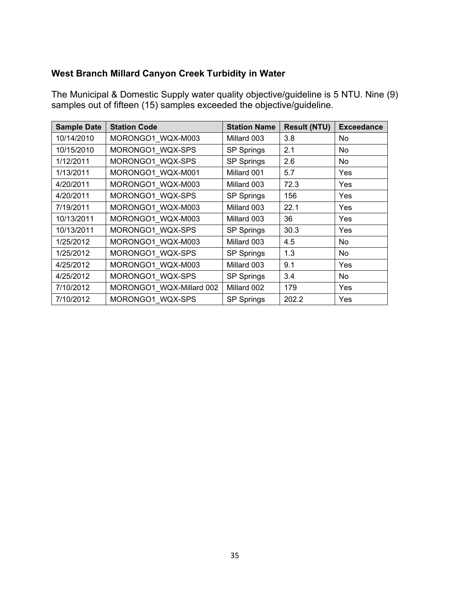## **West Branch Millard Canyon Creek Turbidity in Water**

The Municipal & Domestic Supply water quality objective/guideline is 5 NTU. Nine (9) samples out of fifteen (15) samples exceeded the objective/guideline.

| <b>Sample Date</b> | <b>Station Code</b>      | <b>Station Name</b> | <b>Result (NTU)</b> | <b>Exceedance</b> |
|--------------------|--------------------------|---------------------|---------------------|-------------------|
| 10/14/2010         | MORONGO1_WQX-M003        | Millard 003         | 3.8                 | No.               |
| 10/15/2010         | MORONGO1_WQX-SPS         | SP Springs          | 2.1                 | No                |
| 1/12/2011          | MORONGO1 WQX-SPS         | SP Springs          | 2.6                 | No                |
| 1/13/2011          | MORONGO1_WQX-M001        | Millard 001         | 5.7                 | Yes               |
| 4/20/2011          | MORONGO1_WQX-M003        | Millard 003         | 72.3                | Yes               |
| 4/20/2011          | MORONGO1 WQX-SPS         | <b>SP Springs</b>   | 156                 | Yes               |
| 7/19/2011          | MORONGO1_WQX-M003        | Millard 003         | 22.1                | Yes               |
| 10/13/2011         | MORONGO1 WQX-M003        | Millard 003         | 36                  | Yes               |
| 10/13/2011         | MORONGO1_WQX-SPS         | <b>SP Springs</b>   | 30.3                | Yes               |
| 1/25/2012          | MORONGO1 WQX-M003        | Millard 003         | 4.5                 | No                |
| 1/25/2012          | MORONGO1_WQX-SPS         | SP Springs          | 1.3                 | No                |
| 4/25/2012          | MORONGO1_WQX-M003        | Millard 003         | 9.1                 | Yes               |
| 4/25/2012          | MORONGO1 WQX-SPS         | SP Springs          | 3.4                 | No                |
| 7/10/2012          | MORONGO1_WQX-Millard 002 | Millard 002         | 179                 | Yes               |
| 7/10/2012          | MORONGO1 WQX-SPS         | <b>SP Springs</b>   | 202.2               | Yes               |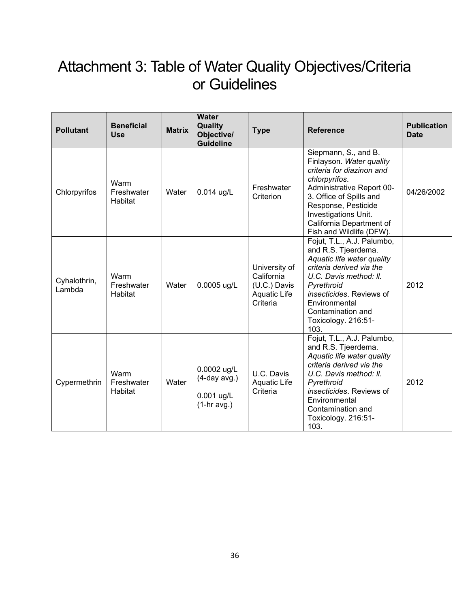# <span id="page-35-0"></span>Attachment 3: Table of Water Quality Objectives/Criteria or Guidelines

| <b>Pollutant</b>       | <b>Beneficial</b><br><b>Use</b> | <b>Matrix</b> | <b>Water</b><br>Quality<br>Objective/<br><b>Guideline</b>     | <b>Type</b>                                                             | <b>Reference</b>                                                                                                                                                                                                                                              | <b>Publication</b><br><b>Date</b> |
|------------------------|---------------------------------|---------------|---------------------------------------------------------------|-------------------------------------------------------------------------|---------------------------------------------------------------------------------------------------------------------------------------------------------------------------------------------------------------------------------------------------------------|-----------------------------------|
| Chlorpyrifos           | Warm<br>Freshwater<br>Habitat   | Water         | 0.014 ug/L                                                    | Freshwater<br>Criterion                                                 | Siepmann, S., and B.<br>Finlayson. Water quality<br>criteria for diazinon and<br>chlorpyrifos.<br>Administrative Report 00-<br>3. Office of Spills and<br>Response, Pesticide<br>Investigations Unit.<br>California Department of<br>Fish and Wildlife (DFW). | 04/26/2002                        |
| Cyhalothrin,<br>Lambda | Warm<br>Freshwater<br>Habitat   | Water         | 0.0005 ug/L                                                   | University of<br>California<br>(U.C.) Davis<br>Aquatic Life<br>Criteria | Fojut, T.L., A.J. Palumbo,<br>and R.S. Tjeerdema.<br>Aquatic life water quality<br>criteria derived via the<br>U.C. Davis method: II.<br>Pyrethroid<br>insecticides. Reviews of<br>Environmental<br>Contamination and<br>Toxicology. 216:51-<br>103.          | 2012                              |
| Cypermethrin           | Warm<br>Freshwater<br>Habitat   | Water         | 0.0002 ug/L<br>$(4$ -day avg.)<br>0.001 ug/L<br>$(1-hr$ avg.) | U.C. Davis<br><b>Aquatic Life</b><br>Criteria                           | Fojut, T.L., A.J. Palumbo,<br>and R.S. Tjeerdema.<br>Aquatic life water quality<br>criteria derived via the<br>U.C. Davis method: II.<br>Pyrethroid<br>insecticides. Reviews of<br>Environmental<br>Contamination and<br>Toxicology. 216:51-<br>103.          | 2012                              |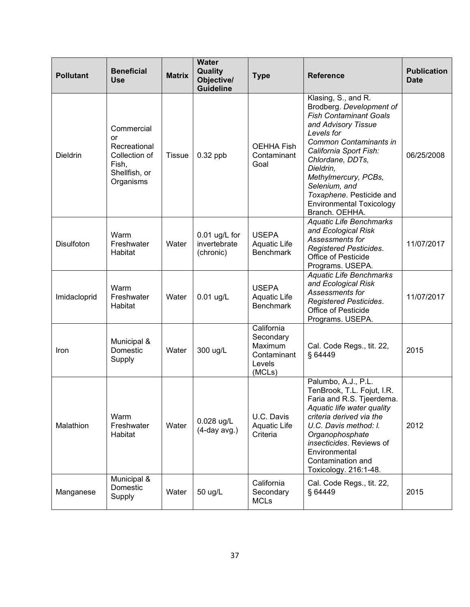| <b>Pollutant</b>  | <b>Beneficial</b><br>Use                                                                 | <b>Matrix</b> | <b>Water</b><br>Quality<br>Objective/<br><b>Guideline</b> | <b>Type</b>                                                           | <b>Reference</b>                                                                                                                                                                                                                                                                                                                     | <b>Publication</b><br><b>Date</b> |
|-------------------|------------------------------------------------------------------------------------------|---------------|-----------------------------------------------------------|-----------------------------------------------------------------------|--------------------------------------------------------------------------------------------------------------------------------------------------------------------------------------------------------------------------------------------------------------------------------------------------------------------------------------|-----------------------------------|
| <b>Dieldrin</b>   | Commercial<br>or<br>Recreational<br>Collection of<br>Fish,<br>Shellfish, or<br>Organisms | <b>Tissue</b> | $0.32$ ppb                                                | <b>OEHHA Fish</b><br>Contaminant<br>Goal                              | Klasing, S., and R.<br>Brodberg. Development of<br><b>Fish Contaminant Goals</b><br>and Advisory Tissue<br>Levels for<br>Common Contaminants in<br>California Sport Fish:<br>Chlordane, DDTs,<br>Dieldrin,<br>Methylmercury, PCBs,<br>Selenium, and<br>Toxaphene. Pesticide and<br><b>Environmental Toxicology</b><br>Branch. OEHHA. | 06/25/2008                        |
| <b>Disulfoton</b> | Warm<br>Freshwater<br>Habitat                                                            | Water         | 0.01 ug/L for<br>invertebrate<br>(chronic)                | <b>USEPA</b><br>Aquatic Life<br><b>Benchmark</b>                      | <b>Aquatic Life Benchmarks</b><br>and Ecological Risk<br>Assessments for<br><b>Registered Pesticides.</b><br><b>Office of Pesticide</b><br>Programs. USEPA.                                                                                                                                                                          | 11/07/2017                        |
| Imidacloprid      | Warm<br>Freshwater<br>Habitat                                                            | Water         | $0.01$ ug/L                                               | <b>USEPA</b><br>Aquatic Life<br><b>Benchmark</b>                      | <b>Aquatic Life Benchmarks</b><br>and Ecological Risk<br>Assessments for<br><b>Registered Pesticides.</b><br>Office of Pesticide<br>Programs. USEPA.                                                                                                                                                                                 | 11/07/2017                        |
| Iron              | Municipal &<br>Domestic<br>Supply                                                        | Water         | 300 ug/L                                                  | California<br>Secondary<br>Maximum<br>Contaminant<br>Levels<br>(MCLs) | Cal. Code Regs., tit. 22,<br>§ 64449                                                                                                                                                                                                                                                                                                 | 2015                              |
| Malathion         | Warm<br>Freshwater<br>Habitat                                                            | Water         | 0.028 ug/L<br>$(4$ -day avg.)                             | U.C. Davis<br><b>Aquatic Life</b><br>Criteria                         | Palumbo, A.J., P.L.<br>TenBrook, T.L. Fojut, I.R.<br>Faria and R.S. Tjeerdema.<br>Aquatic life water quality<br>criteria derived via the<br>U.C. Davis method: I.<br>Organophosphate<br>insecticides. Reviews of<br>Environmental<br>Contamination and<br>Toxicology. 216:1-48.                                                      | 2012                              |
| Manganese         | Municipal &<br>Domestic<br>Supply                                                        | Water         | 50 ug/L                                                   | California<br>Secondary<br><b>MCLs</b>                                | Cal. Code Regs., tit. 22,<br>§ 64449                                                                                                                                                                                                                                                                                                 | 2015                              |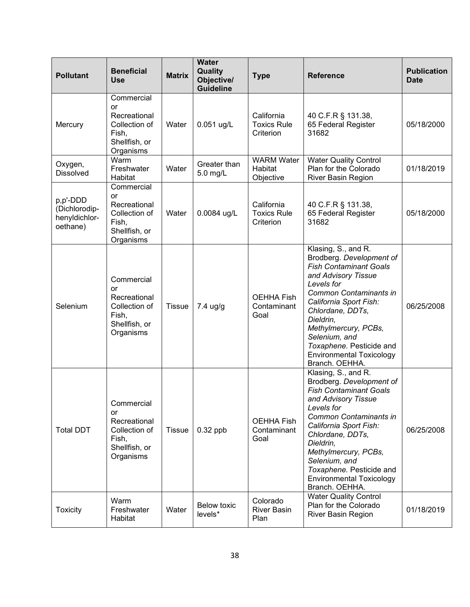| <b>Pollutant</b>                                       | <b>Beneficial</b><br><b>Use</b>                                                          | <b>Matrix</b> | <b>Water</b><br>Quality<br>Objective/<br><b>Guideline</b> | <b>Type</b>                                   | <b>Reference</b>                                                                                                                                                                                                                                                                                                                     | <b>Publication</b><br><b>Date</b> |
|--------------------------------------------------------|------------------------------------------------------------------------------------------|---------------|-----------------------------------------------------------|-----------------------------------------------|--------------------------------------------------------------------------------------------------------------------------------------------------------------------------------------------------------------------------------------------------------------------------------------------------------------------------------------|-----------------------------------|
| Mercury                                                | Commercial<br>or<br>Recreational<br>Collection of<br>Fish,<br>Shellfish, or<br>Organisms | Water         | 0.051 ug/L                                                | California<br><b>Toxics Rule</b><br>Criterion | 40 C.F.R § 131.38,<br>65 Federal Register<br>31682                                                                                                                                                                                                                                                                                   | 05/18/2000                        |
| Oxygen,<br><b>Dissolved</b>                            | Warm<br>Freshwater<br>Habitat                                                            | Water         | Greater than<br>5.0 mg/L                                  | <b>WARM Water</b><br>Habitat<br>Objective     | <b>Water Quality Control</b><br>Plan for the Colorado<br>River Basin Region                                                                                                                                                                                                                                                          | 01/18/2019                        |
| p,p'-DDD<br>(Dichlorodip-<br>henyldichlor-<br>oethane) | Commercial<br>or<br>Recreational<br>Collection of<br>Fish,<br>Shellfish, or<br>Organisms | Water         | 0.0084 ug/L                                               | California<br><b>Toxics Rule</b><br>Criterion | 40 C.F.R § 131.38,<br>65 Federal Register<br>31682                                                                                                                                                                                                                                                                                   | 05/18/2000                        |
| Selenium                                               | Commercial<br>or<br>Recreational<br>Collection of<br>Fish,<br>Shellfish, or<br>Organisms | <b>Tissue</b> | 7.4 ug/g                                                  | <b>OEHHA Fish</b><br>Contaminant<br>Goal      | Klasing, S., and R.<br>Brodberg. Development of<br><b>Fish Contaminant Goals</b><br>and Advisory Tissue<br>Levels for<br>Common Contaminants in<br>California Sport Fish:<br>Chlordane, DDTs,<br>Dieldrin,<br>Methylmercury, PCBs,<br>Selenium, and<br>Toxaphene. Pesticide and<br><b>Environmental Toxicology</b><br>Branch. OEHHA. | 06/25/2008                        |
| <b>Total DDT</b>                                       | Commercial<br>or<br>Recreational<br>Collection of<br>Fish,<br>Shellfish, or<br>Organisms | <b>Tissue</b> | $0.32$ ppb                                                | <b>OEHHA Fish</b><br>Contaminant<br>Goal      | Klasing, S., and R.<br>Brodberg. Development of<br><b>Fish Contaminant Goals</b><br>and Advisory Tissue<br>Levels for<br>Common Contaminants in<br>California Sport Fish:<br>Chlordane, DDTs,<br>Dieldrin,<br>Methylmercury, PCBs,<br>Selenium, and<br>Toxaphene. Pesticide and<br><b>Environmental Toxicology</b><br>Branch. OEHHA. | 06/25/2008                        |
| <b>Toxicity</b>                                        | Warm<br>Freshwater<br>Habitat                                                            | Water         | <b>Below toxic</b><br>levels*                             | Colorado<br><b>River Basin</b><br>Plan        | <b>Water Quality Control</b><br>Plan for the Colorado<br><b>River Basin Region</b>                                                                                                                                                                                                                                                   | 01/18/2019                        |